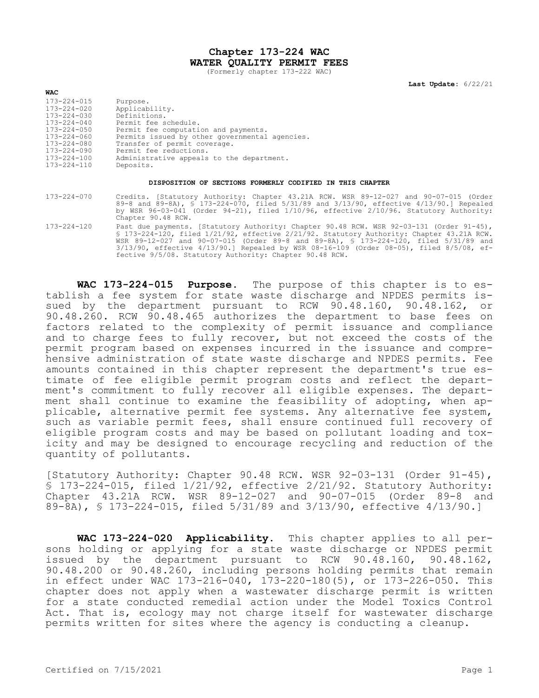## **Chapter 173-224 WAC WATER QUALITY PERMIT FEES**

(Formerly chapter 173-222 WAC)

**Last Update:** 6/22/21

| <b>WAL</b>        |                                                |
|-------------------|------------------------------------------------|
| $173 - 224 - 015$ | Purpose.                                       |
| 173-224-020       | Applicability.                                 |
| $173 - 224 - 030$ | Definitions.                                   |
| $173 - 224 - 040$ | Permit fee schedule.                           |
| 173-224-050       | Permit fee computation and payments.           |
| $173 - 224 - 060$ | Permits issued by other governmental agencies. |
| 173-224-080       | Transfer of permit coverage.                   |
| 173-224-090       | Permit fee reductions.                         |
| $173 - 224 - 100$ | Administrative appeals to the department.      |
| 173-224-110       | Deposits.                                      |
|                   |                                                |

**WAC**

## **DISPOSITION OF SECTIONS FORMERLY CODIFIED IN THIS CHAPTER**

- 173-224-070 Credits. [Statutory Authority: Chapter 43.21A RCW. WSR 89-12-027 and 90-07-015 (Order 89-8 and 89-8A), § 173-224-070, filed 5/31/89 and 3/13/90, effective 4/13/90.] Repealed by WSR 96-03-041 (Order 94-21), filed 1/10/96, effective 2/10/96. Statutory Authority: Chapter 90.48 RCW.
- 173-224-120 Past due payments. [Statutory Authority: Chapter 90.48 RCW. WSR 92-03-131 (Order 91-45), § 173-224-120, filed 1/21/92, effective 2/21/92. Statutory Authority: Chapter 43.21A RCW. WSR 89-12-027 and 90-07-015 (Order 89-8 and 89-8A), § 173-224-120, filed 5/31/89 and 3/13/90, effective 4/13/90.] Repealed by WSR 08-16-109 (Order 08-05), filed 8/5/08, effective 9/5/08. Statutory Authority: Chapter 90.48 RCW.

**WAC 173-224-015 Purpose.** The purpose of this chapter is to establish a fee system for state waste discharge and NPDES permits issued by the department pursuant to RCW 90.48.160, 90.48.162, or 90.48.260. RCW 90.48.465 authorizes the department to base fees on factors related to the complexity of permit issuance and compliance and to charge fees to fully recover, but not exceed the costs of the permit program based on expenses incurred in the issuance and comprehensive administration of state waste discharge and NPDES permits. Fee amounts contained in this chapter represent the department's true estimate of fee eligible permit program costs and reflect the department's commitment to fully recover all eligible expenses. The department shall continue to examine the feasibility of adopting, when applicable, alternative permit fee systems. Any alternative fee system, such as variable permit fees, shall ensure continued full recovery of eligible program costs and may be based on pollutant loading and toxicity and may be designed to encourage recycling and reduction of the quantity of pollutants.

[Statutory Authority: Chapter 90.48 RCW. WSR 92-03-131 (Order 91-45), § 173-224-015, filed 1/21/92, effective 2/21/92. Statutory Authority: Chapter 43.21A RCW. WSR 89-12-027 and 90-07-015 (Order 89-8 and 89-8A), § 173-224-015, filed 5/31/89 and 3/13/90, effective 4/13/90.]

**WAC 173-224-020 Applicability.** This chapter applies to all persons holding or applying for a state waste discharge or NPDES permit issued by the department pursuant to RCW 90.48.160, 90.48.162, 90.48.200 or 90.48.260, including persons holding permits that remain in effect under WAC 173-216-040, 173-220-180(5), or 173-226-050. This chapter does not apply when a wastewater discharge permit is written for a state conducted remedial action under the Model Toxics Control Act. That is, ecology may not charge itself for wastewater discharge permits written for sites where the agency is conducting a cleanup.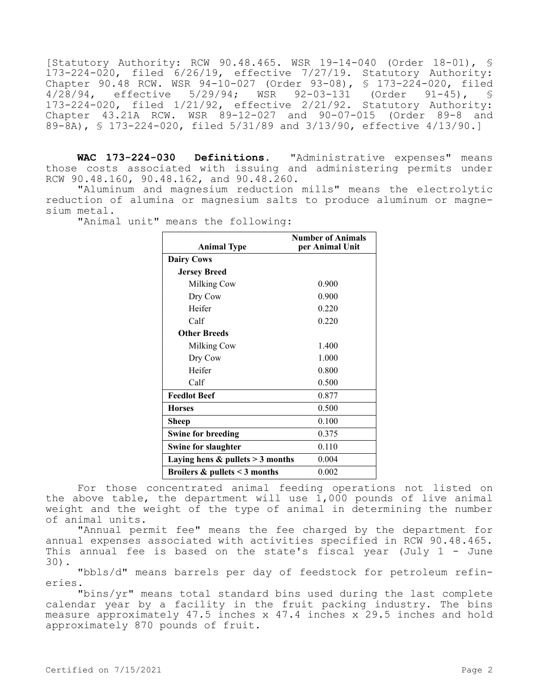[Statutory Authority: RCW 90.48.465. WSR 19-14-040 (Order 18-01), § 173-224-020, filed 6/26/19, effective 7/27/19. Statutory Authority: Chapter 90.48 RCW. WSR 94-10-027 (Order 93-08), § 173-224-020, filed 4/28/94, effective 5/29/94; WSR 92-03-131 (Order 91-45), § 173-224-020, filed 1/21/92, effective 2/21/92. Statutory Authority: Chapter 43.21A RCW. WSR 89-12-027 and 90-07-015 (Order 89-8 and 89-8A), § 173-224-020, filed 5/31/89 and 3/13/90, effective 4/13/90.]

**WAC 173-224-030 Definitions.** "Administrative expenses" means those costs associated with issuing and administering permits under RCW 90.48.160, 90.48.162, and 90.48.260.

"Aluminum and magnesium reduction mills" means the electrolytic reduction of alumina or magnesium salts to produce aluminum or magnesium metal.

"Animal unit" means the following:

| <b>Animal Type</b>                   | <b>Number of Animals</b><br>per Animal Unit |
|--------------------------------------|---------------------------------------------|
| <b>Dairy Cows</b>                    |                                             |
| <b>Jersey Breed</b>                  |                                             |
| Milking Cow                          | 0.900                                       |
| Dry Cow                              | 0.900                                       |
| Heifer                               | 0.220                                       |
| Calf                                 | 0.220                                       |
| <b>Other Breeds</b>                  |                                             |
| Milking Cow                          | 1.400                                       |
| Dry Cow                              | 1.000                                       |
| Heifer                               | 0.800                                       |
| Calf                                 | 0.500                                       |
| <b>Feedlot Beef</b>                  | 0.877                                       |
| <b>Horses</b>                        | 0.500                                       |
| Sheep                                | 0.100                                       |
| <b>Swine for breeding</b>            | 0.375                                       |
| <b>Swine for slaughter</b>           | 0.110                                       |
| Laying hens $&$ pullets $>$ 3 months | 0.004                                       |
| Broilers $&$ pullets < 3 months      | 0.002                                       |

For those concentrated animal feeding operations not listed on the above table, the department will use 1,000 pounds of live animal weight and the weight of the type of animal in determining the number of animal units.

"Annual permit fee" means the fee charged by the department for annual expenses associated with activities specified in RCW 90.48.465. This annual fee is based on the state's fiscal year (July 1 - June 30).

"bbls/d" means barrels per day of feedstock for petroleum refineries.

"bins/yr" means total standard bins used during the last complete calendar year by a facility in the fruit packing industry. The bins measure approximately 47.5 inches x 47.4 inches x 29.5 inches and hold approximately 870 pounds of fruit.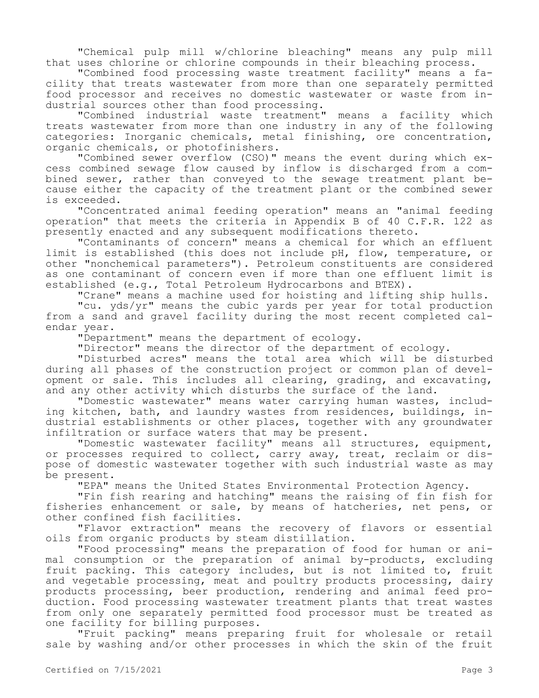"Chemical pulp mill w/chlorine bleaching" means any pulp mill that uses chlorine or chlorine compounds in their bleaching process.

"Combined food processing waste treatment facility" means a facility that treats wastewater from more than one separately permitted food processor and receives no domestic wastewater or waste from industrial sources other than food processing.

"Combined industrial waste treatment" means a facility which treats wastewater from more than one industry in any of the following categories: Inorganic chemicals, metal finishing, ore concentration, organic chemicals, or photofinishers.

"Combined sewer overflow (CSO)" means the event during which excess combined sewage flow caused by inflow is discharged from a combined sewer, rather than conveyed to the sewage treatment plant because either the capacity of the treatment plant or the combined sewer is exceeded.

"Concentrated animal feeding operation" means an "animal feeding operation" that meets the criteria in Appendix B of 40 C.F.R. 122 as presently enacted and any subsequent modifications thereto.

"Contaminants of concern" means a chemical for which an effluent limit is established (this does not include pH, flow, temperature, or other "nonchemical parameters"). Petroleum constituents are considered as one contaminant of concern even if more than one effluent limit is established (e.g., Total Petroleum Hydrocarbons and BTEX).

"Crane" means a machine used for hoisting and lifting ship hulls.

"cu. yds/yr" means the cubic yards per year for total production from a sand and gravel facility during the most recent completed calendar year.

"Department" means the department of ecology.

"Director" means the director of the department of ecology.

"Disturbed acres" means the total area which will be disturbed during all phases of the construction project or common plan of development or sale. This includes all clearing, grading, and excavating, and any other activity which disturbs the surface of the land.

"Domestic wastewater" means water carrying human wastes, including kitchen, bath, and laundry wastes from residences, buildings, industrial establishments or other places, together with any groundwater infiltration or surface waters that may be present.

"Domestic wastewater facility" means all structures, equipment, or processes required to collect, carry away, treat, reclaim or dispose of domestic wastewater together with such industrial waste as may be present.

"EPA" means the United States Environmental Protection Agency.

"Fin fish rearing and hatching" means the raising of fin fish for fisheries enhancement or sale, by means of hatcheries, net pens, or other confined fish facilities.

"Flavor extraction" means the recovery of flavors or essential oils from organic products by steam distillation.

"Food processing" means the preparation of food for human or animal consumption or the preparation of animal by-products, excluding fruit packing. This category includes, but is not limited to, fruit and vegetable processing, meat and poultry products processing, dairy products processing, beer production, rendering and animal feed production. Food processing wastewater treatment plants that treat wastes from only one separately permitted food processor must be treated as one facility for billing purposes.

"Fruit packing" means preparing fruit for wholesale or retail sale by washing and/or other processes in which the skin of the fruit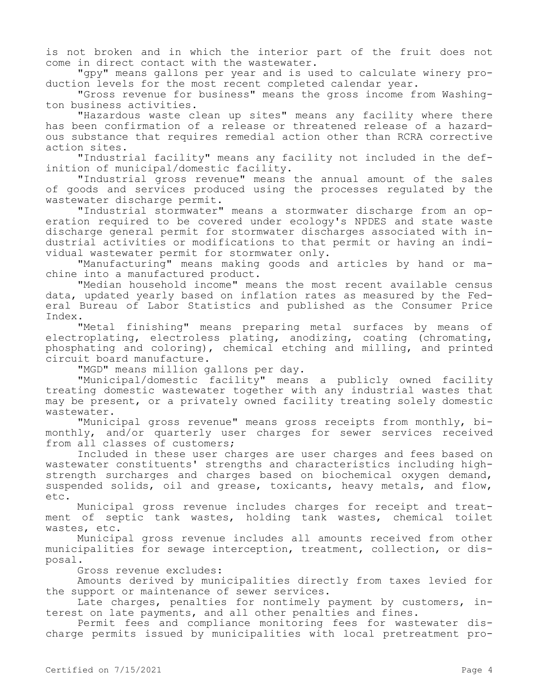is not broken and in which the interior part of the fruit does not come in direct contact with the wastewater.

"gpy" means gallons per year and is used to calculate winery production levels for the most recent completed calendar year.

"Gross revenue for business" means the gross income from Washington business activities.

"Hazardous waste clean up sites" means any facility where there has been confirmation of a release or threatened release of a hazardous substance that requires remedial action other than RCRA corrective action sites.

"Industrial facility" means any facility not included in the definition of municipal/domestic facility.

"Industrial gross revenue" means the annual amount of the sales of goods and services produced using the processes regulated by the wastewater discharge permit.

"Industrial stormwater" means a stormwater discharge from an operation required to be covered under ecology's NPDES and state waste discharge general permit for stormwater discharges associated with industrial activities or modifications to that permit or having an individual wastewater permit for stormwater only.

"Manufacturing" means making goods and articles by hand or machine into a manufactured product.

"Median household income" means the most recent available census data, updated yearly based on inflation rates as measured by the Federal Bureau of Labor Statistics and published as the Consumer Price Index.

"Metal finishing" means preparing metal surfaces by means of electroplating, electroless plating, anodizing, coating (chromating, phosphating and coloring), chemical etching and milling, and printed circuit board manufacture.

"MGD" means million gallons per day.

"Municipal/domestic facility" means a publicly owned facility treating domestic wastewater together with any industrial wastes that may be present, or a privately owned facility treating solely domestic wastewater.

"Municipal gross revenue" means gross receipts from monthly, bimonthly, and/or quarterly user charges for sewer services received from all classes of customers;

Included in these user charges are user charges and fees based on wastewater constituents' strengths and characteristics including highstrength surcharges and charges based on biochemical oxygen demand, suspended solids, oil and grease, toxicants, heavy metals, and flow, etc.

Municipal gross revenue includes charges for receipt and treatment of septic tank wastes, holding tank wastes, chemical toilet wastes, etc.

Municipal gross revenue includes all amounts received from other municipalities for sewage interception, treatment, collection, or disposal.

Gross revenue excludes:

Amounts derived by municipalities directly from taxes levied for the support or maintenance of sewer services.

Late charges, penalties for nontimely payment by customers, interest on late payments, and all other penalties and fines.

Permit fees and compliance monitoring fees for wastewater discharge permits issued by municipalities with local pretreatment pro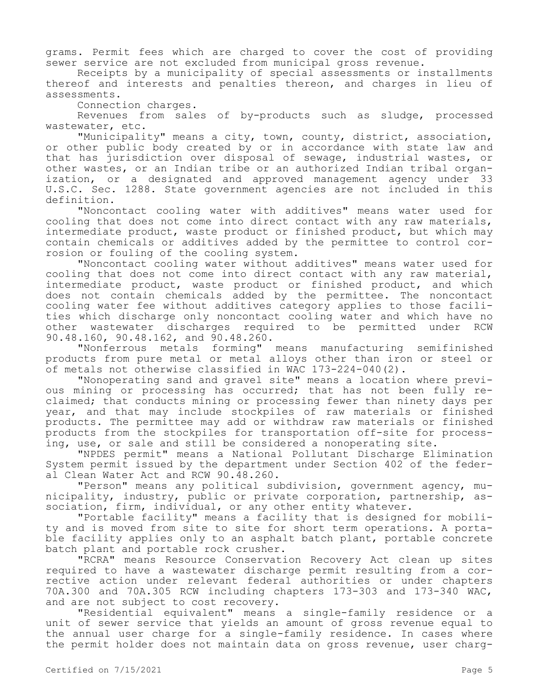grams. Permit fees which are charged to cover the cost of providing sewer service are not excluded from municipal gross revenue.

Receipts by a municipality of special assessments or installments thereof and interests and penalties thereon, and charges in lieu of assessments.

Connection charges.

Revenues from sales of by-products such as sludge, processed wastewater, etc.

"Municipality" means a city, town, county, district, association, or other public body created by or in accordance with state law and that has jurisdiction over disposal of sewage, industrial wastes, or other wastes, or an Indian tribe or an authorized Indian tribal organization, or a designated and approved management agency under 33 U.S.C. Sec. 1288. State government agencies are not included in this definition.

"Noncontact cooling water with additives" means water used for cooling that does not come into direct contact with any raw materials, intermediate product, waste product or finished product, but which may contain chemicals or additives added by the permittee to control corrosion or fouling of the cooling system.

"Noncontact cooling water without additives" means water used for cooling that does not come into direct contact with any raw material, intermediate product, waste product or finished product, and which does not contain chemicals added by the permittee. The noncontact cooling water fee without additives category applies to those facilities which discharge only noncontact cooling water and which have no other wastewater discharges required to be permitted under RCW 90.48.160, 90.48.162, and 90.48.260.

"Nonferrous metals forming" means manufacturing semifinished products from pure metal or metal alloys other than iron or steel or of metals not otherwise classified in WAC 173-224-040(2).

"Nonoperating sand and gravel site" means a location where previous mining or processing has occurred; that has not been fully reclaimed; that conducts mining or processing fewer than ninety days per year, and that may include stockpiles of raw materials or finished products. The permittee may add or withdraw raw materials or finished products from the stockpiles for transportation off-site for processing, use, or sale and still be considered a nonoperating site.

"NPDES permit" means a National Pollutant Discharge Elimination System permit issued by the department under Section 402 of the federal Clean Water Act and RCW 90.48.260.

"Person" means any political subdivision, government agency, municipality, industry, public or private corporation, partnership, association, firm, individual, or any other entity whatever.

"Portable facility" means a facility that is designed for mobility and is moved from site to site for short term operations. A portable facility applies only to an asphalt batch plant, portable concrete batch plant and portable rock crusher.

"RCRA" means Resource Conservation Recovery Act clean up sites required to have a wastewater discharge permit resulting from a corrective action under relevant federal authorities or under chapters 70A.300 and 70A.305 RCW including chapters 173-303 and 173-340 WAC, and are not subject to cost recovery.

"Residential equivalent" means a single-family residence or a unit of sewer service that yields an amount of gross revenue equal to the annual user charge for a single-family residence. In cases where the permit holder does not maintain data on gross revenue, user charg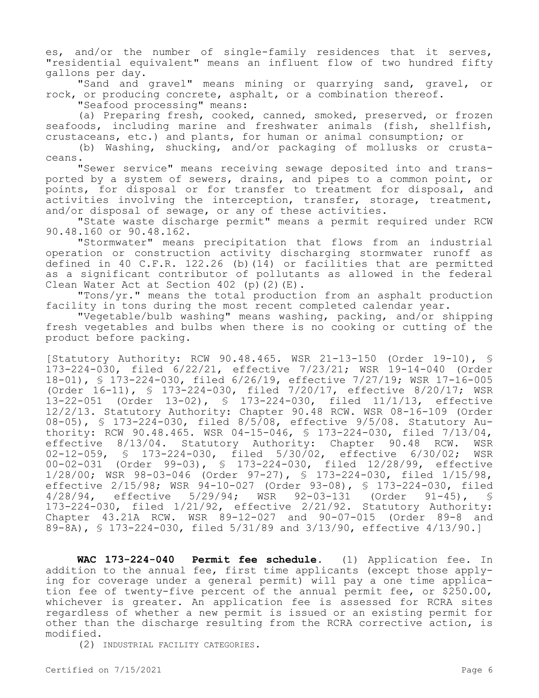es, and/or the number of single-family residences that it serves, "residential equivalent" means an influent flow of two hundred fifty gallons per day.

"Sand and gravel" means mining or quarrying sand, gravel, or rock, or producing concrete, asphalt, or a combination thereof.

"Seafood processing" means:

(a) Preparing fresh, cooked, canned, smoked, preserved, or frozen seafoods, including marine and freshwater animals (fish, shellfish, crustaceans, etc.) and plants, for human or animal consumption; or

(b) Washing, shucking, and/or packaging of mollusks or crustaceans.

"Sewer service" means receiving sewage deposited into and transported by a system of sewers, drains, and pipes to a common point, or points, for disposal or for transfer to treatment for disposal, and activities involving the interception, transfer, storage, treatment, and/or disposal of sewage, or any of these activities.

"State waste discharge permit" means a permit required under RCW 90.48.160 or 90.48.162.

"Stormwater" means precipitation that flows from an industrial operation or construction activity discharging stormwater runoff as defined in 40 C.F.R. 122.26 (b)(14) or facilities that are permitted as a significant contributor of pollutants as allowed in the federal Clean Water Act at Section 402 (p)(2)(E).

"Tons/yr." means the total production from an asphalt production facility in tons during the most recent completed calendar year.

"Vegetable/bulb washing" means washing, packing, and/or shipping fresh vegetables and bulbs when there is no cooking or cutting of the product before packing.

[Statutory Authority: RCW 90.48.465. WSR 21-13-150 (Order 19-10), § 173-224-030, filed 6/22/21, effective 7/23/21; WSR 19-14-040 (Order 18-01), § 173-224-030, filed 6/26/19, effective 7/27/19; WSR 17-16-005 (Order 16-11), § 173-224-030, filed 7/20/17, effective 8/20/17; WSR 13-22-051 (Order 13-02), § 173-224-030, filed 11/1/13, effective 12/2/13. Statutory Authority: Chapter 90.48 RCW. WSR 08-16-109 (Order 08-05), § 173-224-030, filed 8/5/08, effective 9/5/08. Statutory Authority: RCW 90.48.465. WSR 04-15-046, § 173-224-030, filed 7/13/04, effective 8/13/04. Statutory Authority: Chapter 90.48 RCW. WSR 02-12-059, § 173-224-030, filed 5/30/02, effective 6/30/02; WSR 00-02-031 (Order 99-03), § 173-224-030, filed 12/28/99, effective 1/28/00; WSR 98-03-046 (Order 97-27), § 173-224-030, filed 1/15/98, effective 2/15/98; WSR 94-10-027 (Order 93-08), § 173-224-030, filed<br>4/28/94, effective 5/29/94; WSR 92-03-131 (Order 91-45), § 4/28/94, effective 5/29/94; WSR 92-03-131 (Order 91-45), § 173-224-030, filed 1/21/92, effective 2/21/92. Statutory Authority: Chapter 43.21A RCW. WSR 89-12-027 and 90-07-015 (Order 89-8 and 89-8A), § 173-224-030, filed 5/31/89 and 3/13/90, effective 4/13/90.]

**WAC 173-224-040 Permit fee schedule.** (1) Application fee. In addition to the annual fee, first time applicants (except those applying for coverage under a general permit) will pay a one time application fee of twenty-five percent of the annual permit fee, or \$250.00, whichever is greater. An application fee is assessed for RCRA sites regardless of whether a new permit is issued or an existing permit for other than the discharge resulting from the RCRA corrective action, is modified.

(2) INDUSTRIAL FACILITY CATEGORIES.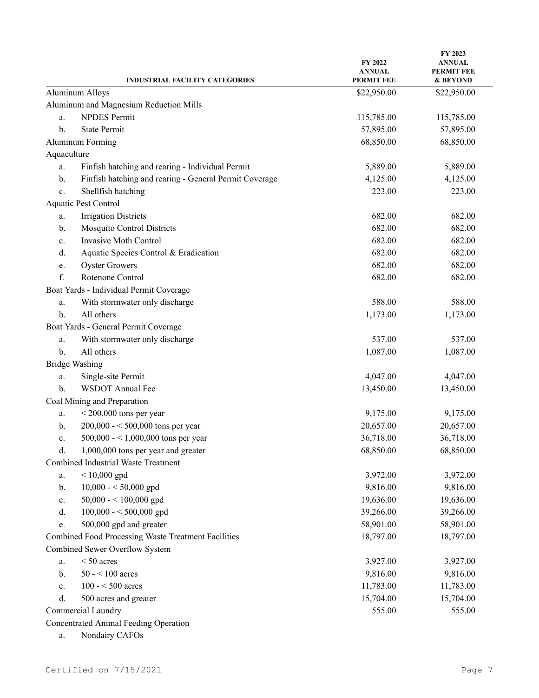|                | <b>INDUSTRIAL FACILITY CATEGORIES</b>                  | <b>FY 2022</b><br><b>ANNUAL</b><br><b>PERMIT FEE</b> | FY 2023<br><b>ANNUAL</b><br>PERMIT FEE<br>& BEYOND |
|----------------|--------------------------------------------------------|------------------------------------------------------|----------------------------------------------------|
|                | Aluminum Alloys                                        | \$22,950.00                                          | \$22,950.00                                        |
|                | Aluminum and Magnesium Reduction Mills                 |                                                      |                                                    |
| a.             | <b>NPDES Permit</b>                                    | 115,785.00                                           | 115,785.00                                         |
| $\mathbf{b}$ . | <b>State Permit</b>                                    | 57,895.00                                            | 57,895.00                                          |
|                | <b>Aluminum Forming</b>                                | 68,850.00                                            | 68,850.00                                          |
| Aquaculture    |                                                        |                                                      |                                                    |
| a.             | Finfish hatching and rearing - Individual Permit       | 5,889.00                                             | 5,889.00                                           |
| b.             | Finfish hatching and rearing - General Permit Coverage | 4,125.00                                             | 4,125.00                                           |
| c.             | Shellfish hatching                                     | 223.00                                               | 223.00                                             |
|                | Aquatic Pest Control                                   |                                                      |                                                    |
| a.             | <b>Irrigation Districts</b>                            | 682.00                                               | 682.00                                             |
| b.             | <b>Mosquito Control Districts</b>                      | 682.00                                               | 682.00                                             |
| c.             | Invasive Moth Control                                  | 682.00                                               | 682.00                                             |
| d.             | Aquatic Species Control & Eradication                  | 682.00                                               | 682.00                                             |
| e.             | <b>Oyster Growers</b>                                  | 682.00                                               | 682.00                                             |
| f.             | Rotenone Control                                       | 682.00                                               | 682.00                                             |
|                | Boat Yards - Individual Permit Coverage                |                                                      |                                                    |
| a.             | With stormwater only discharge                         | 588.00                                               | 588.00                                             |
| b.             | All others                                             | 1,173.00                                             | 1,173.00                                           |
|                | Boat Yards - General Permit Coverage                   |                                                      |                                                    |
| a.             | With stormwater only discharge                         | 537.00                                               | 537.00                                             |
| b.             | All others                                             | 1,087.00                                             | 1,087.00                                           |
|                | <b>Bridge Washing</b>                                  |                                                      |                                                    |
| a.             | Single-site Permit                                     | 4,047.00                                             | 4,047.00                                           |
| b.             | <b>WSDOT Annual Fee</b>                                | 13,450.00                                            | 13,450.00                                          |
|                | Coal Mining and Preparation                            |                                                      |                                                    |
| a.             | $<$ 200,000 tons per year                              | 9,175.00                                             | 9,175.00                                           |
| b.             | $200,000 - 500,000$ tons per year                      | 20,657.00                                            | 20,657.00                                          |
| c.             | 500,000 - < 1,000,000 tons per year                    | 36,718.00                                            | 36,718.00                                          |
| d.             | 1,000,000 tons per year and greater                    | 68,850.00                                            | 68,850.00                                          |
|                | Combined Industrial Waste Treatment                    |                                                      |                                                    |
| a.             | $< 10,000$ gpd                                         | 3,972.00                                             | 3,972.00                                           |
| b.             | $10,000 - 50,000$ gpd                                  | 9,816.00                                             | 9,816.00                                           |
| c.             | $50,000 - 100,000$ gpd                                 | 19,636.00                                            | 19,636.00                                          |
| d.             | $100,000 - 500,000$ gpd                                | 39,266.00                                            | 39,266.00                                          |
| e.             | 500,000 gpd and greater                                | 58,901.00                                            | 58,901.00                                          |
|                | Combined Food Processing Waste Treatment Facilities    | 18,797.00                                            | 18,797.00                                          |
|                | Combined Sewer Overflow System                         |                                                      |                                                    |
| a.             | $< 50$ acres                                           | 3,927.00                                             | 3,927.00                                           |
| b.             | $50 - 100$ acres                                       | 9,816.00                                             | 9,816.00                                           |
| c.             | $100 - 500$ acres                                      | 11,783.00                                            | 11,783.00                                          |
| d.             | 500 acres and greater                                  | 15,704.00                                            | 15,704.00                                          |
|                | Commercial Laundry                                     | 555.00                                               | 555.00                                             |
|                | Concentrated Animal Feeding Operation                  |                                                      |                                                    |

a. Nondairy CAFOs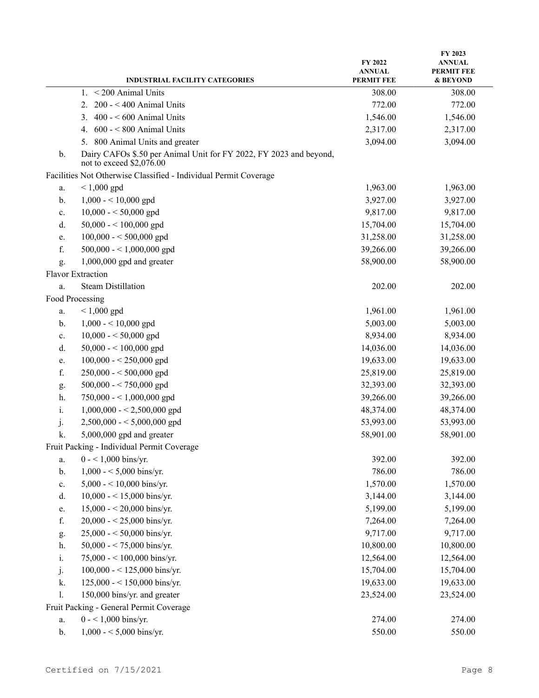|    | <b>INDUSTRIAL FACILITY CATEGORIES</b>                                                          | FY 2022<br><b>ANNUAL</b><br><b>PERMIT FEE</b> | FY 2023<br><b>ANNUAL</b><br><b>PERMIT FEE</b><br>& BEYOND |
|----|------------------------------------------------------------------------------------------------|-----------------------------------------------|-----------------------------------------------------------|
|    | $<$ 200 Animal Units<br>1.                                                                     | 308.00                                        | 308.00                                                    |
|    | $200 - 400$ Animal Units<br>2.                                                                 | 772.00                                        | 772.00                                                    |
|    | $400 - 600$ Animal Units<br>3.                                                                 | 1,546.00                                      | 1,546.00                                                  |
|    | $600 - 800$ Animal Units<br>4.                                                                 | 2,317.00                                      | 2,317.00                                                  |
|    | 800 Animal Units and greater<br>5.                                                             | 3,094.00                                      | 3,094.00                                                  |
| b. | Dairy CAFOs \$.50 per Animal Unit for FY 2022, FY 2023 and beyond,<br>not to exceed \$2,076.00 |                                               |                                                           |
|    | Facilities Not Otherwise Classified - Individual Permit Coverage                               |                                               |                                                           |
| a. | $< 1,000$ gpd                                                                                  | 1,963.00                                      | 1,963.00                                                  |
| b. | $1,000 - 10,000$ gpd                                                                           | 3,927.00                                      | 3,927.00                                                  |
| c. | $10,000 - 50,000$ gpd                                                                          | 9,817.00                                      | 9,817.00                                                  |
| d. | 50,000 - < 100,000 gpd                                                                         | 15,704.00                                     | 15,704.00                                                 |
| e. | $100,000 - 500,000$ gpd                                                                        | 31,258.00                                     | 31,258.00                                                 |
| f. | 500,000 - < 1,000,000 gpd                                                                      | 39,266.00                                     | 39,266.00                                                 |
| g. | $1,000,000$ gpd and greater                                                                    | 58,900.00                                     | 58,900.00                                                 |
|    | Flavor Extraction                                                                              |                                               |                                                           |
| a. | <b>Steam Distillation</b>                                                                      | 202.00                                        | 202.00                                                    |
|    | Food Processing                                                                                |                                               |                                                           |
| a. | $< 1,000$ gpd                                                                                  | 1,961.00                                      | 1,961.00                                                  |
| b. | $1,000 - 10,000$ gpd                                                                           | 5,003.00                                      | 5,003.00                                                  |
| c. | $10,000 - 50,000$ gpd                                                                          | 8,934.00                                      | 8,934.00                                                  |
| d. | 50,000 - < 100,000 gpd                                                                         | 14,036.00                                     | 14,036.00                                                 |
| e. | $100,000 - 250,000$ gpd                                                                        | 19,633.00                                     | 19,633.00                                                 |
| f. | $250,000 - 500,000$ gpd                                                                        | 25,819.00                                     | 25,819.00                                                 |
| g. | $500,000 - 750,000$ gpd                                                                        | 32,393.00                                     | 32,393.00                                                 |
| h. | 750,000 - $<$ 1,000,000 gpd                                                                    | 39,266.00                                     | 39,266.00                                                 |
| i. | $1,000,000 - 2,500,000$ gpd                                                                    | 48,374.00                                     | 48,374.00                                                 |
| j. | $2,500,000 - 5,000,000$ gpd                                                                    | 53,993.00                                     | 53,993.00                                                 |
| k. | 5,000,000 gpd and greater                                                                      | 58,901.00                                     | 58,901.00                                                 |
|    | Fruit Packing - Individual Permit Coverage                                                     |                                               |                                                           |
| a. | $0 - 1,000$ bins/yr.                                                                           | 392.00                                        | 392.00                                                    |
| b. | $1,000 - 5,000$ bins/yr.                                                                       | 786.00                                        | 786.00                                                    |
| c. | 5,000 - < 10,000 bins/yr.                                                                      | 1,570.00                                      | 1,570.00                                                  |
| d. | $10,000 - 15,000$ bins/yr.                                                                     | 3,144.00                                      | 3,144.00                                                  |
| e. | $15,000 - 20,000$ bins/yr.                                                                     | 5,199.00                                      | 5,199.00                                                  |
| f. | $20,000 - 25,000$ bins/yr.                                                                     | 7,264.00                                      | 7,264.00                                                  |
| g. | $25,000 - 50,000$ bins/yr.                                                                     | 9,717.00                                      | 9,717.00                                                  |
| h. | 50,000 - < 75,000 bins/yr.                                                                     | 10,800.00                                     | 10,800.00                                                 |
| i. | 75,000 - < 100,000 bins/yr.                                                                    | 12,564.00                                     | 12,564.00                                                 |
| j. | 100,000 - < 125,000 bins/yr.                                                                   | 15,704.00                                     | 15,704.00                                                 |
| k. | 125,000 - < 150,000 bins/yr.                                                                   | 19,633.00                                     | 19,633.00                                                 |
| 1. | 150,000 bins/yr. and greater                                                                   | 23,524.00                                     | 23,524.00                                                 |
|    | Fruit Packing - General Permit Coverage                                                        |                                               |                                                           |
| a. | $0 - 1,000$ bins/yr.                                                                           | 274.00                                        | 274.00                                                    |
| b. | $1,000 - 5,000$ bins/yr.                                                                       | 550.00                                        | 550.00                                                    |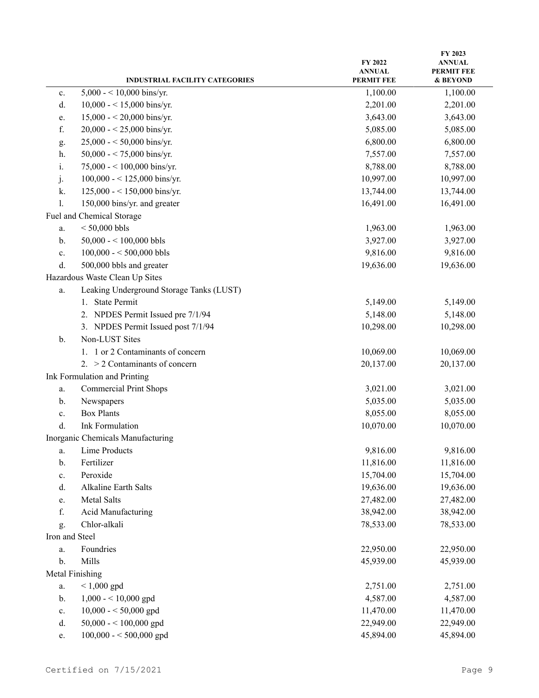| 5,000 - < 10,000 bins/yr.<br>1,100.00<br>1,100.00<br>c.<br>2,201.00<br>$10,000 - 15,000$ bins/yr.<br>2,201.00<br>d.<br>$15,000 - 20,000$ bins/yr.<br>3,643.00<br>3,643.00<br>e.<br>20,000 - < 25,000 bins/yr.<br>f.<br>5,085.00<br>5,085.00<br>$25,000 - 50,000$ bins/yr.<br>6,800.00<br>6,800.00<br>g.<br>50,000 - < 75,000 bins/yr.<br>7,557.00<br>7,557.00<br>h.<br>75,000 - < 100,000 bins/yr.<br>8,788.00<br>8,788.00<br>1.<br>10,997.00<br>100,000 - < 125,000 bins/yr.<br>10,997.00<br>j.<br>$125,000 - 150,000$ bins/yr.<br>13,744.00<br>13,744.00<br>k.<br>150,000 bins/yr. and greater<br>16,491.00<br>16,491.00<br>1.<br>Fuel and Chemical Storage<br>$< 50,000$ bbls<br>1,963.00<br>1,963.00<br>a.<br>50,000 - < 100,000 bbls<br>3,927.00<br>3,927.00<br>b.<br>9,816.00<br>$100,000 - 500,000$ bbls<br>9,816.00<br>c.<br>19,636.00<br>d.<br>500,000 bbls and greater<br>19,636.00<br>Hazardous Waste Clean Up Sites<br>Leaking Underground Storage Tanks (LUST)<br>a.<br><b>State Permit</b><br>5,149.00<br>5,149.00<br>1.<br>2. NPDES Permit Issued pre 7/1/94<br>5,148.00<br>5,148.00<br>3. NPDES Permit Issued post 7/1/94<br>10,298.00<br>10,298.00<br>Non-LUST Sites<br>b.<br>1. 1 or 2 Contaminants of concern<br>10,069.00<br>10,069.00<br>2. $>$ 2 Contaminants of concern<br>20,137.00<br>20,137.00<br>Ink Formulation and Printing<br><b>Commercial Print Shops</b><br>3,021.00<br>3,021.00<br>a.<br>5,035.00<br>5,035.00<br>Newspapers<br>b.<br><b>Box Plants</b><br>8,055.00<br>8,055.00<br>c.<br><b>Ink Formulation</b><br>10,070.00<br>d.<br>10,070.00<br>Inorganic Chemicals Manufacturing<br>Lime Products<br>9,816.00<br>9,816.00<br>a.<br>Fertilizer<br>11,816.00<br>11,816.00<br>b.<br>Peroxide<br>15,704.00<br>15,704.00<br>c.<br>Alkaline Earth Salts<br>19,636.00<br>19,636.00<br>d.<br>Metal Salts<br>27,482.00<br>27,482.00<br>e.<br>f.<br>Acid Manufacturing<br>38,942.00<br>38,942.00<br>Chlor-alkali<br>78,533.00<br>78,533.00<br>g.<br>Iron and Steel<br>Foundries<br>22,950.00<br>22,950.00<br>a.<br>Mills<br>b.<br>45,939.00<br>45,939.00<br>Metal Finishing<br>$< 1,000$ gpd<br>2,751.00<br>2,751.00<br>a.<br>$1,000 - 10,000$ gpd<br>4,587.00<br>4,587.00<br>b.<br>$10,000 - 50,000$ gpd<br>11,470.00<br>11,470.00<br>c.<br>50,000 - < 100,000 gpd<br>22,949.00<br>22,949.00<br>d. |    | <b>INDUSTRIAL FACILITY CATEGORIES</b> | FY 2022<br><b>ANNUAL</b><br><b>PERMIT FEE</b> | FY 2023<br><b>ANNUAL</b><br><b>PERMIT FEE</b><br>& BEYOND |
|--------------------------------------------------------------------------------------------------------------------------------------------------------------------------------------------------------------------------------------------------------------------------------------------------------------------------------------------------------------------------------------------------------------------------------------------------------------------------------------------------------------------------------------------------------------------------------------------------------------------------------------------------------------------------------------------------------------------------------------------------------------------------------------------------------------------------------------------------------------------------------------------------------------------------------------------------------------------------------------------------------------------------------------------------------------------------------------------------------------------------------------------------------------------------------------------------------------------------------------------------------------------------------------------------------------------------------------------------------------------------------------------------------------------------------------------------------------------------------------------------------------------------------------------------------------------------------------------------------------------------------------------------------------------------------------------------------------------------------------------------------------------------------------------------------------------------------------------------------------------------------------------------------------------------------------------------------------------------------------------------------------------------------------------------------------------------------------------------------------------------------------------------------------------------------------------------------------------------------------------------------------------------------------------------------------------------------|----|---------------------------------------|-----------------------------------------------|-----------------------------------------------------------|
|                                                                                                                                                                                                                                                                                                                                                                                                                                                                                                                                                                                                                                                                                                                                                                                                                                                                                                                                                                                                                                                                                                                                                                                                                                                                                                                                                                                                                                                                                                                                                                                                                                                                                                                                                                                                                                                                                                                                                                                                                                                                                                                                                                                                                                                                                                                                |    |                                       |                                               |                                                           |
|                                                                                                                                                                                                                                                                                                                                                                                                                                                                                                                                                                                                                                                                                                                                                                                                                                                                                                                                                                                                                                                                                                                                                                                                                                                                                                                                                                                                                                                                                                                                                                                                                                                                                                                                                                                                                                                                                                                                                                                                                                                                                                                                                                                                                                                                                                                                |    |                                       |                                               |                                                           |
|                                                                                                                                                                                                                                                                                                                                                                                                                                                                                                                                                                                                                                                                                                                                                                                                                                                                                                                                                                                                                                                                                                                                                                                                                                                                                                                                                                                                                                                                                                                                                                                                                                                                                                                                                                                                                                                                                                                                                                                                                                                                                                                                                                                                                                                                                                                                |    |                                       |                                               |                                                           |
|                                                                                                                                                                                                                                                                                                                                                                                                                                                                                                                                                                                                                                                                                                                                                                                                                                                                                                                                                                                                                                                                                                                                                                                                                                                                                                                                                                                                                                                                                                                                                                                                                                                                                                                                                                                                                                                                                                                                                                                                                                                                                                                                                                                                                                                                                                                                |    |                                       |                                               |                                                           |
|                                                                                                                                                                                                                                                                                                                                                                                                                                                                                                                                                                                                                                                                                                                                                                                                                                                                                                                                                                                                                                                                                                                                                                                                                                                                                                                                                                                                                                                                                                                                                                                                                                                                                                                                                                                                                                                                                                                                                                                                                                                                                                                                                                                                                                                                                                                                |    |                                       |                                               |                                                           |
|                                                                                                                                                                                                                                                                                                                                                                                                                                                                                                                                                                                                                                                                                                                                                                                                                                                                                                                                                                                                                                                                                                                                                                                                                                                                                                                                                                                                                                                                                                                                                                                                                                                                                                                                                                                                                                                                                                                                                                                                                                                                                                                                                                                                                                                                                                                                |    |                                       |                                               |                                                           |
|                                                                                                                                                                                                                                                                                                                                                                                                                                                                                                                                                                                                                                                                                                                                                                                                                                                                                                                                                                                                                                                                                                                                                                                                                                                                                                                                                                                                                                                                                                                                                                                                                                                                                                                                                                                                                                                                                                                                                                                                                                                                                                                                                                                                                                                                                                                                |    |                                       |                                               |                                                           |
|                                                                                                                                                                                                                                                                                                                                                                                                                                                                                                                                                                                                                                                                                                                                                                                                                                                                                                                                                                                                                                                                                                                                                                                                                                                                                                                                                                                                                                                                                                                                                                                                                                                                                                                                                                                                                                                                                                                                                                                                                                                                                                                                                                                                                                                                                                                                |    |                                       |                                               |                                                           |
|                                                                                                                                                                                                                                                                                                                                                                                                                                                                                                                                                                                                                                                                                                                                                                                                                                                                                                                                                                                                                                                                                                                                                                                                                                                                                                                                                                                                                                                                                                                                                                                                                                                                                                                                                                                                                                                                                                                                                                                                                                                                                                                                                                                                                                                                                                                                |    |                                       |                                               |                                                           |
|                                                                                                                                                                                                                                                                                                                                                                                                                                                                                                                                                                                                                                                                                                                                                                                                                                                                                                                                                                                                                                                                                                                                                                                                                                                                                                                                                                                                                                                                                                                                                                                                                                                                                                                                                                                                                                                                                                                                                                                                                                                                                                                                                                                                                                                                                                                                |    |                                       |                                               |                                                           |
|                                                                                                                                                                                                                                                                                                                                                                                                                                                                                                                                                                                                                                                                                                                                                                                                                                                                                                                                                                                                                                                                                                                                                                                                                                                                                                                                                                                                                                                                                                                                                                                                                                                                                                                                                                                                                                                                                                                                                                                                                                                                                                                                                                                                                                                                                                                                |    |                                       |                                               |                                                           |
|                                                                                                                                                                                                                                                                                                                                                                                                                                                                                                                                                                                                                                                                                                                                                                                                                                                                                                                                                                                                                                                                                                                                                                                                                                                                                                                                                                                                                                                                                                                                                                                                                                                                                                                                                                                                                                                                                                                                                                                                                                                                                                                                                                                                                                                                                                                                |    |                                       |                                               |                                                           |
|                                                                                                                                                                                                                                                                                                                                                                                                                                                                                                                                                                                                                                                                                                                                                                                                                                                                                                                                                                                                                                                                                                                                                                                                                                                                                                                                                                                                                                                                                                                                                                                                                                                                                                                                                                                                                                                                                                                                                                                                                                                                                                                                                                                                                                                                                                                                |    |                                       |                                               |                                                           |
|                                                                                                                                                                                                                                                                                                                                                                                                                                                                                                                                                                                                                                                                                                                                                                                                                                                                                                                                                                                                                                                                                                                                                                                                                                                                                                                                                                                                                                                                                                                                                                                                                                                                                                                                                                                                                                                                                                                                                                                                                                                                                                                                                                                                                                                                                                                                |    |                                       |                                               |                                                           |
|                                                                                                                                                                                                                                                                                                                                                                                                                                                                                                                                                                                                                                                                                                                                                                                                                                                                                                                                                                                                                                                                                                                                                                                                                                                                                                                                                                                                                                                                                                                                                                                                                                                                                                                                                                                                                                                                                                                                                                                                                                                                                                                                                                                                                                                                                                                                |    |                                       |                                               |                                                           |
|                                                                                                                                                                                                                                                                                                                                                                                                                                                                                                                                                                                                                                                                                                                                                                                                                                                                                                                                                                                                                                                                                                                                                                                                                                                                                                                                                                                                                                                                                                                                                                                                                                                                                                                                                                                                                                                                                                                                                                                                                                                                                                                                                                                                                                                                                                                                |    |                                       |                                               |                                                           |
|                                                                                                                                                                                                                                                                                                                                                                                                                                                                                                                                                                                                                                                                                                                                                                                                                                                                                                                                                                                                                                                                                                                                                                                                                                                                                                                                                                                                                                                                                                                                                                                                                                                                                                                                                                                                                                                                                                                                                                                                                                                                                                                                                                                                                                                                                                                                |    |                                       |                                               |                                                           |
|                                                                                                                                                                                                                                                                                                                                                                                                                                                                                                                                                                                                                                                                                                                                                                                                                                                                                                                                                                                                                                                                                                                                                                                                                                                                                                                                                                                                                                                                                                                                                                                                                                                                                                                                                                                                                                                                                                                                                                                                                                                                                                                                                                                                                                                                                                                                |    |                                       |                                               |                                                           |
|                                                                                                                                                                                                                                                                                                                                                                                                                                                                                                                                                                                                                                                                                                                                                                                                                                                                                                                                                                                                                                                                                                                                                                                                                                                                                                                                                                                                                                                                                                                                                                                                                                                                                                                                                                                                                                                                                                                                                                                                                                                                                                                                                                                                                                                                                                                                |    |                                       |                                               |                                                           |
|                                                                                                                                                                                                                                                                                                                                                                                                                                                                                                                                                                                                                                                                                                                                                                                                                                                                                                                                                                                                                                                                                                                                                                                                                                                                                                                                                                                                                                                                                                                                                                                                                                                                                                                                                                                                                                                                                                                                                                                                                                                                                                                                                                                                                                                                                                                                |    |                                       |                                               |                                                           |
|                                                                                                                                                                                                                                                                                                                                                                                                                                                                                                                                                                                                                                                                                                                                                                                                                                                                                                                                                                                                                                                                                                                                                                                                                                                                                                                                                                                                                                                                                                                                                                                                                                                                                                                                                                                                                                                                                                                                                                                                                                                                                                                                                                                                                                                                                                                                |    |                                       |                                               |                                                           |
|                                                                                                                                                                                                                                                                                                                                                                                                                                                                                                                                                                                                                                                                                                                                                                                                                                                                                                                                                                                                                                                                                                                                                                                                                                                                                                                                                                                                                                                                                                                                                                                                                                                                                                                                                                                                                                                                                                                                                                                                                                                                                                                                                                                                                                                                                                                                |    |                                       |                                               |                                                           |
|                                                                                                                                                                                                                                                                                                                                                                                                                                                                                                                                                                                                                                                                                                                                                                                                                                                                                                                                                                                                                                                                                                                                                                                                                                                                                                                                                                                                                                                                                                                                                                                                                                                                                                                                                                                                                                                                                                                                                                                                                                                                                                                                                                                                                                                                                                                                |    |                                       |                                               |                                                           |
|                                                                                                                                                                                                                                                                                                                                                                                                                                                                                                                                                                                                                                                                                                                                                                                                                                                                                                                                                                                                                                                                                                                                                                                                                                                                                                                                                                                                                                                                                                                                                                                                                                                                                                                                                                                                                                                                                                                                                                                                                                                                                                                                                                                                                                                                                                                                |    |                                       |                                               |                                                           |
|                                                                                                                                                                                                                                                                                                                                                                                                                                                                                                                                                                                                                                                                                                                                                                                                                                                                                                                                                                                                                                                                                                                                                                                                                                                                                                                                                                                                                                                                                                                                                                                                                                                                                                                                                                                                                                                                                                                                                                                                                                                                                                                                                                                                                                                                                                                                |    |                                       |                                               |                                                           |
|                                                                                                                                                                                                                                                                                                                                                                                                                                                                                                                                                                                                                                                                                                                                                                                                                                                                                                                                                                                                                                                                                                                                                                                                                                                                                                                                                                                                                                                                                                                                                                                                                                                                                                                                                                                                                                                                                                                                                                                                                                                                                                                                                                                                                                                                                                                                |    |                                       |                                               |                                                           |
|                                                                                                                                                                                                                                                                                                                                                                                                                                                                                                                                                                                                                                                                                                                                                                                                                                                                                                                                                                                                                                                                                                                                                                                                                                                                                                                                                                                                                                                                                                                                                                                                                                                                                                                                                                                                                                                                                                                                                                                                                                                                                                                                                                                                                                                                                                                                |    |                                       |                                               |                                                           |
|                                                                                                                                                                                                                                                                                                                                                                                                                                                                                                                                                                                                                                                                                                                                                                                                                                                                                                                                                                                                                                                                                                                                                                                                                                                                                                                                                                                                                                                                                                                                                                                                                                                                                                                                                                                                                                                                                                                                                                                                                                                                                                                                                                                                                                                                                                                                |    |                                       |                                               |                                                           |
|                                                                                                                                                                                                                                                                                                                                                                                                                                                                                                                                                                                                                                                                                                                                                                                                                                                                                                                                                                                                                                                                                                                                                                                                                                                                                                                                                                                                                                                                                                                                                                                                                                                                                                                                                                                                                                                                                                                                                                                                                                                                                                                                                                                                                                                                                                                                |    |                                       |                                               |                                                           |
|                                                                                                                                                                                                                                                                                                                                                                                                                                                                                                                                                                                                                                                                                                                                                                                                                                                                                                                                                                                                                                                                                                                                                                                                                                                                                                                                                                                                                                                                                                                                                                                                                                                                                                                                                                                                                                                                                                                                                                                                                                                                                                                                                                                                                                                                                                                                |    |                                       |                                               |                                                           |
|                                                                                                                                                                                                                                                                                                                                                                                                                                                                                                                                                                                                                                                                                                                                                                                                                                                                                                                                                                                                                                                                                                                                                                                                                                                                                                                                                                                                                                                                                                                                                                                                                                                                                                                                                                                                                                                                                                                                                                                                                                                                                                                                                                                                                                                                                                                                |    |                                       |                                               |                                                           |
|                                                                                                                                                                                                                                                                                                                                                                                                                                                                                                                                                                                                                                                                                                                                                                                                                                                                                                                                                                                                                                                                                                                                                                                                                                                                                                                                                                                                                                                                                                                                                                                                                                                                                                                                                                                                                                                                                                                                                                                                                                                                                                                                                                                                                                                                                                                                |    |                                       |                                               |                                                           |
|                                                                                                                                                                                                                                                                                                                                                                                                                                                                                                                                                                                                                                                                                                                                                                                                                                                                                                                                                                                                                                                                                                                                                                                                                                                                                                                                                                                                                                                                                                                                                                                                                                                                                                                                                                                                                                                                                                                                                                                                                                                                                                                                                                                                                                                                                                                                |    |                                       |                                               |                                                           |
|                                                                                                                                                                                                                                                                                                                                                                                                                                                                                                                                                                                                                                                                                                                                                                                                                                                                                                                                                                                                                                                                                                                                                                                                                                                                                                                                                                                                                                                                                                                                                                                                                                                                                                                                                                                                                                                                                                                                                                                                                                                                                                                                                                                                                                                                                                                                |    |                                       |                                               |                                                           |
|                                                                                                                                                                                                                                                                                                                                                                                                                                                                                                                                                                                                                                                                                                                                                                                                                                                                                                                                                                                                                                                                                                                                                                                                                                                                                                                                                                                                                                                                                                                                                                                                                                                                                                                                                                                                                                                                                                                                                                                                                                                                                                                                                                                                                                                                                                                                |    |                                       |                                               |                                                           |
|                                                                                                                                                                                                                                                                                                                                                                                                                                                                                                                                                                                                                                                                                                                                                                                                                                                                                                                                                                                                                                                                                                                                                                                                                                                                                                                                                                                                                                                                                                                                                                                                                                                                                                                                                                                                                                                                                                                                                                                                                                                                                                                                                                                                                                                                                                                                |    |                                       |                                               |                                                           |
|                                                                                                                                                                                                                                                                                                                                                                                                                                                                                                                                                                                                                                                                                                                                                                                                                                                                                                                                                                                                                                                                                                                                                                                                                                                                                                                                                                                                                                                                                                                                                                                                                                                                                                                                                                                                                                                                                                                                                                                                                                                                                                                                                                                                                                                                                                                                |    |                                       |                                               |                                                           |
|                                                                                                                                                                                                                                                                                                                                                                                                                                                                                                                                                                                                                                                                                                                                                                                                                                                                                                                                                                                                                                                                                                                                                                                                                                                                                                                                                                                                                                                                                                                                                                                                                                                                                                                                                                                                                                                                                                                                                                                                                                                                                                                                                                                                                                                                                                                                |    |                                       |                                               |                                                           |
|                                                                                                                                                                                                                                                                                                                                                                                                                                                                                                                                                                                                                                                                                                                                                                                                                                                                                                                                                                                                                                                                                                                                                                                                                                                                                                                                                                                                                                                                                                                                                                                                                                                                                                                                                                                                                                                                                                                                                                                                                                                                                                                                                                                                                                                                                                                                |    |                                       |                                               |                                                           |
|                                                                                                                                                                                                                                                                                                                                                                                                                                                                                                                                                                                                                                                                                                                                                                                                                                                                                                                                                                                                                                                                                                                                                                                                                                                                                                                                                                                                                                                                                                                                                                                                                                                                                                                                                                                                                                                                                                                                                                                                                                                                                                                                                                                                                                                                                                                                |    |                                       |                                               |                                                           |
|                                                                                                                                                                                                                                                                                                                                                                                                                                                                                                                                                                                                                                                                                                                                                                                                                                                                                                                                                                                                                                                                                                                                                                                                                                                                                                                                                                                                                                                                                                                                                                                                                                                                                                                                                                                                                                                                                                                                                                                                                                                                                                                                                                                                                                                                                                                                |    |                                       |                                               |                                                           |
|                                                                                                                                                                                                                                                                                                                                                                                                                                                                                                                                                                                                                                                                                                                                                                                                                                                                                                                                                                                                                                                                                                                                                                                                                                                                                                                                                                                                                                                                                                                                                                                                                                                                                                                                                                                                                                                                                                                                                                                                                                                                                                                                                                                                                                                                                                                                |    |                                       |                                               |                                                           |
|                                                                                                                                                                                                                                                                                                                                                                                                                                                                                                                                                                                                                                                                                                                                                                                                                                                                                                                                                                                                                                                                                                                                                                                                                                                                                                                                                                                                                                                                                                                                                                                                                                                                                                                                                                                                                                                                                                                                                                                                                                                                                                                                                                                                                                                                                                                                |    |                                       |                                               |                                                           |
|                                                                                                                                                                                                                                                                                                                                                                                                                                                                                                                                                                                                                                                                                                                                                                                                                                                                                                                                                                                                                                                                                                                                                                                                                                                                                                                                                                                                                                                                                                                                                                                                                                                                                                                                                                                                                                                                                                                                                                                                                                                                                                                                                                                                                                                                                                                                |    |                                       |                                               |                                                           |
|                                                                                                                                                                                                                                                                                                                                                                                                                                                                                                                                                                                                                                                                                                                                                                                                                                                                                                                                                                                                                                                                                                                                                                                                                                                                                                                                                                                                                                                                                                                                                                                                                                                                                                                                                                                                                                                                                                                                                                                                                                                                                                                                                                                                                                                                                                                                | e. | $100,000 - 500,000$ gpd               | 45,894.00                                     | 45,894.00                                                 |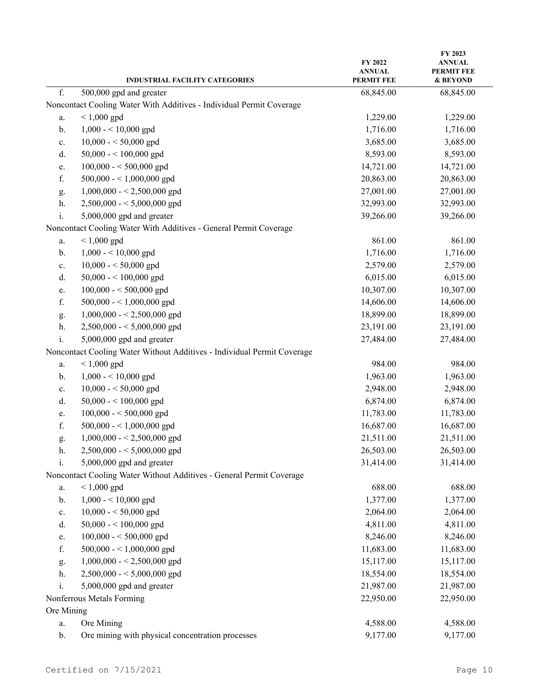|                             | <b>INDUSTRIAL FACILITY CATEGORIES</b>                                   | FY 2022<br><b>ANNUAL</b><br><b>PERMIT FEE</b> | FY 2023<br>ANNUAL<br><b>PERMIT FEE</b><br>& BEYOND |
|-----------------------------|-------------------------------------------------------------------------|-----------------------------------------------|----------------------------------------------------|
| f.                          | 500,000 gpd and greater                                                 | 68,845.00                                     | 68,845.00                                          |
|                             | Noncontact Cooling Water With Additives - Individual Permit Coverage    |                                               |                                                    |
| a.                          | $< 1,000$ gpd                                                           | 1,229.00                                      | 1,229.00                                           |
| b.                          | $1,000 - 10,000$ gpd                                                    | 1,716.00                                      | 1,716.00                                           |
| c.                          | $10,000 - 50,000$ gpd                                                   | 3,685.00                                      | 3,685.00                                           |
| d.                          | 50,000 - < $100,000$ gpd                                                | 8,593.00                                      | 8,593.00                                           |
| e.                          | $100,000 - 500,000$ gpd                                                 | 14,721.00                                     | 14,721.00                                          |
| f.                          | 500,000 - < 1,000,000 gpd                                               | 20,863.00                                     | 20,863.00                                          |
| g.                          | $1,000,000 - 2,500,000$ gpd                                             | 27,001.00                                     | 27,001.00                                          |
| h.                          | $2,500,000 - 5,000,000$ gpd                                             | 32,993.00                                     | 32,993.00                                          |
| $\mathbf{i}$ .              | 5,000,000 gpd and greater                                               | 39,266.00                                     | 39,266.00                                          |
|                             | Noncontact Cooling Water With Additives - General Permit Coverage       |                                               |                                                    |
| a.                          | $< 1,000$ gpd                                                           | 861.00                                        | 861.00                                             |
| b.                          | $1,000 - 10,000$ gpd                                                    | 1,716.00                                      | 1,716.00                                           |
| c.                          | $10,000 - 50,000$ gpd                                                   | 2,579.00                                      | 2,579.00                                           |
| d.                          | 50,000 - < $100,000$ gpd                                                | 6,015.00                                      | 6,015.00                                           |
| e.                          | $100,000 - 500,000$ gpd                                                 | 10,307.00                                     | 10,307.00                                          |
| f.                          | $500,000 - 1,000,000$ gpd                                               | 14,606.00                                     | 14,606.00                                          |
| g.                          | $1,000,000 - 2,500,000$ gpd                                             | 18,899.00                                     | 18,899.00                                          |
| h.                          | $2,500,000 - 5,000,000$ gpd                                             | 23,191.00                                     | 23,191.00                                          |
| i.                          | 5,000,000 gpd and greater                                               | 27,484.00                                     | 27,484.00                                          |
|                             | Noncontact Cooling Water Without Additives - Individual Permit Coverage |                                               |                                                    |
| a.                          | $< 1,000$ gpd                                                           | 984.00                                        | 984.00                                             |
| b.                          | $1,000 - 10,000$ gpd                                                    | 1,963.00                                      | 1,963.00                                           |
| c.                          | $10,000 - 50,000$ gpd                                                   | 2,948.00                                      | 2,948.00                                           |
| d.                          | $50,000 - 100,000$ gpd                                                  | 6,874.00                                      | 6,874.00                                           |
| e.                          | $100,000 - 500,000$ gpd                                                 | 11,783.00                                     | 11,783.00                                          |
| ${\bf f}.$                  | $500,000 - 1,000,000$ gpd                                               | 16,687.00                                     | 16,687.00                                          |
| g.                          | $1,000,000 - 2,500,000$ gpd                                             | 21,511.00                                     | 21,511.00                                          |
| h.                          | $2,500,000 - 5,000,000$ gpd                                             | 26,503.00                                     | 26,503.00                                          |
| $\mathrm{i}.$               | 5,000,000 gpd and greater                                               | 31,414.00                                     | 31,414.00                                          |
|                             | Noncontact Cooling Water Without Additives - General Permit Coverage    |                                               |                                                    |
| a.                          | $< 1,000$ gpd                                                           | 688.00                                        | 688.00                                             |
| b.                          | $1,000 - 10,000$ gpd                                                    | 1,377.00                                      | 1,377.00                                           |
| $\mathbf{c}.$               | $10,000 - 50,000$ gpd                                                   | 2,064.00                                      | 2,064.00                                           |
| d.                          | $50,000 - 100,000$ gpd                                                  | 4,811.00                                      | 4,811.00                                           |
| e.                          | $100,000 - 500,000$ gpd                                                 | 8,246.00                                      | 8,246.00                                           |
| f.                          | $500,000 - 1,000,000$ gpd                                               | 11,683.00                                     | 11,683.00                                          |
| g.                          | $1,000,000 - 2,500,000$ gpd                                             | 15,117.00                                     | 15,117.00                                          |
| h.                          | $2,500,000 - 5,000,000$ gpd                                             | 18,554.00                                     | 18,554.00                                          |
| i.                          | 5,000,000 gpd and greater                                               | 21,987.00                                     | 21,987.00                                          |
|                             | Nonferrous Metals Forming                                               | 22,950.00                                     | 22,950.00                                          |
|                             |                                                                         |                                               |                                                    |
| a.                          |                                                                         |                                               |                                                    |
|                             |                                                                         |                                               |                                                    |
| Ore Mining<br>$\mathbf b$ . | Ore Mining<br>Ore mining with physical concentration processes          | 4,588.00<br>9,177.00                          | 4,588.00<br>9,177.00                               |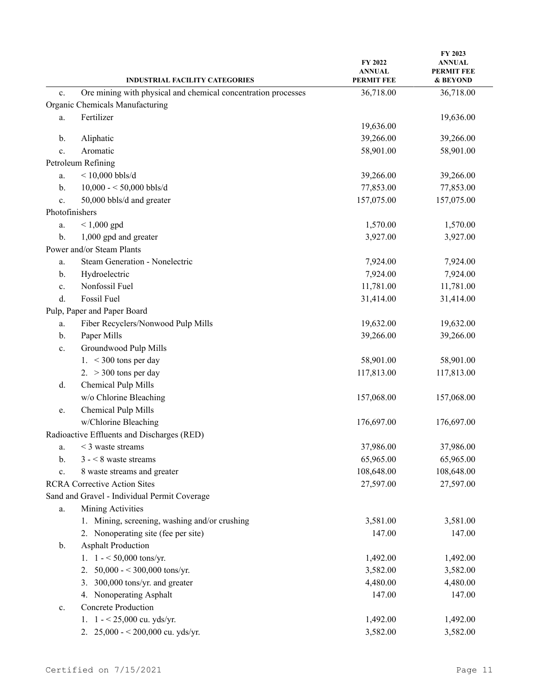|                | <b>INDUSTRIAL FACILITY CATEGORIES</b>                         | <b>FY 2022</b><br><b>ANNUAL</b><br><b>PERMIT FEE</b> | FY 2023<br><b>ANNUAL</b><br><b>PERMIT FEE</b><br>& BEYOND |
|----------------|---------------------------------------------------------------|------------------------------------------------------|-----------------------------------------------------------|
| c.             | Ore mining with physical and chemical concentration processes | 36,718.00                                            | 36,718.00                                                 |
|                | Organic Chemicals Manufacturing                               |                                                      |                                                           |
| a.             | Fertilizer                                                    | 19,636.00                                            | 19,636.00                                                 |
| b.             | Aliphatic                                                     | 39,266.00                                            | 39,266.00                                                 |
| c.             | Aromatic                                                      | 58,901.00                                            | 58,901.00                                                 |
|                | Petroleum Refining                                            |                                                      |                                                           |
| a.             | $<$ 10,000 bbls/d                                             | 39,266.00                                            | 39,266.00                                                 |
| b.             | $10,000 - 50,000$ bbls/d                                      | 77,853.00                                            | 77,853.00                                                 |
| c.             | 50,000 bbls/d and greater                                     | 157,075.00                                           | 157,075.00                                                |
| Photofinishers |                                                               |                                                      |                                                           |
| a.             | $< 1,000$ gpd                                                 | 1,570.00                                             | 1,570.00                                                  |
| b.             | 1,000 gpd and greater                                         | 3,927.00                                             | 3,927.00                                                  |
|                | Power and/or Steam Plants                                     |                                                      |                                                           |
| a.             | Steam Generation - Nonelectric                                | 7,924.00                                             | 7,924.00                                                  |
| b.             | Hydroelectric                                                 | 7,924.00                                             | 7,924.00                                                  |
| c.             | Nonfossil Fuel                                                | 11,781.00                                            | 11,781.00                                                 |
| d.             | Fossil Fuel                                                   | 31,414.00                                            | 31,414.00                                                 |
|                | Pulp, Paper and Paper Board                                   |                                                      |                                                           |
| a.             | Fiber Recyclers/Nonwood Pulp Mills                            | 19,632.00                                            | 19,632.00                                                 |
| b.             | Paper Mills                                                   | 39,266.00                                            | 39,266.00                                                 |
| c.             | Groundwood Pulp Mills                                         |                                                      |                                                           |
|                | 1. $<$ 300 tons per day                                       | 58,901.00                                            | 58,901.00                                                 |
|                | 2. $>$ 300 tons per day                                       | 117,813.00                                           | 117,813.00                                                |
| d.             | Chemical Pulp Mills                                           |                                                      |                                                           |
|                | w/o Chlorine Bleaching                                        | 157,068.00                                           | 157,068.00                                                |
| e.             | Chemical Pulp Mills                                           |                                                      |                                                           |
|                | w/Chlorine Bleaching                                          | 176,697.00                                           | 176,697.00                                                |
|                | Radioactive Effluents and Discharges (RED)                    |                                                      |                                                           |
| a.             | $\leq$ 3 waste streams                                        | 37,986.00                                            | 37,986.00                                                 |
| b.             | $3 - 8$ waste streams                                         | 65,965.00                                            | 65,965.00                                                 |
| c.             | 8 waste streams and greater                                   | 108,648.00                                           | 108,648.00                                                |
|                | <b>RCRA Corrective Action Sites</b>                           | 27,597.00                                            | 27,597.00                                                 |
|                | Sand and Gravel - Individual Permit Coverage                  |                                                      |                                                           |
| a.             | Mining Activities                                             |                                                      |                                                           |
|                | 1. Mining, screening, washing and/or crushing                 | 3,581.00                                             | 3,581.00                                                  |
|                | 2. Nonoperating site (fee per site)                           | 147.00                                               | 147.00                                                    |
| $\mathbf{b}$ . | <b>Asphalt Production</b>                                     |                                                      |                                                           |
|                | 1. $1 - 50,000$ tons/yr.                                      | 1,492.00                                             | 1,492.00                                                  |
|                | 50,000 - < 300,000 tons/yr.<br>2.                             | 3,582.00                                             | 3,582.00                                                  |
|                | 3. 300,000 tons/yr. and greater                               | 4,480.00                                             | 4,480.00                                                  |
|                | 4. Nonoperating Asphalt                                       | 147.00                                               | 147.00                                                    |
| c.             | <b>Concrete Production</b>                                    |                                                      |                                                           |
|                | 1. $1 - 25,000$ cu. yds/yr.                                   | 1,492.00                                             | 1,492.00                                                  |
|                | 2. $25,000 - 200,000$ cu. yds/yr.                             | 3,582.00                                             | 3,582.00                                                  |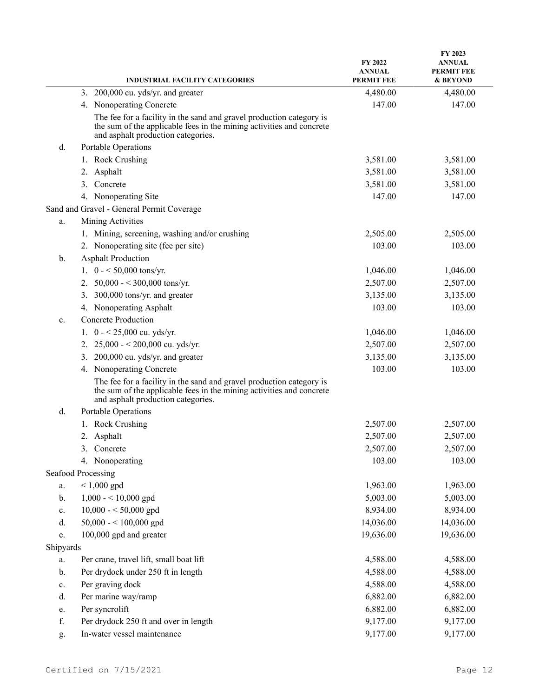|                | <b>INDUSTRIAL FACILITY CATEGORIES</b>                                                                                                                                              | FY 2022<br><b>ANNUAL</b><br><b>PERMIT FEE</b> | FY 2023<br><b>ANNUAL</b><br><b>PERMIT FEE</b><br>& BEYOND |
|----------------|------------------------------------------------------------------------------------------------------------------------------------------------------------------------------------|-----------------------------------------------|-----------------------------------------------------------|
|                | 3. 200,000 cu. yds/yr. and greater                                                                                                                                                 | 4,480.00                                      | 4,480.00                                                  |
|                | 4. Nonoperating Concrete                                                                                                                                                           | 147.00                                        | 147.00                                                    |
|                | The fee for a facility in the sand and gravel production category is<br>the sum of the applicable fees in the mining activities and concrete<br>and asphalt production categories. |                                               |                                                           |
| d.             | Portable Operations                                                                                                                                                                |                                               |                                                           |
|                | 1. Rock Crushing                                                                                                                                                                   | 3,581.00                                      | 3,581.00                                                  |
|                | 2. Asphalt                                                                                                                                                                         | 3,581.00                                      | 3,581.00                                                  |
|                | 3. Concrete                                                                                                                                                                        | 3,581.00                                      | 3,581.00                                                  |
|                | 4. Nonoperating Site                                                                                                                                                               | 147.00                                        | 147.00                                                    |
|                | Sand and Gravel - General Permit Coverage                                                                                                                                          |                                               |                                                           |
| a.             | Mining Activities                                                                                                                                                                  |                                               |                                                           |
|                | 1. Mining, screening, washing and/or crushing                                                                                                                                      | 2,505.00                                      | 2,505.00                                                  |
|                | 2. Nonoperating site (fee per site)                                                                                                                                                | 103.00                                        | 103.00                                                    |
| $\mathbf{b}$ . | <b>Asphalt Production</b>                                                                                                                                                          |                                               |                                                           |
|                | 1. $0 - 50,000$ tons/yr.                                                                                                                                                           | 1,046.00                                      | 1,046.00                                                  |
|                | 50,000 - < 300,000 tons/yr.<br>2.                                                                                                                                                  | 2,507.00                                      | 2,507.00                                                  |
|                | 300,000 tons/yr. and greater<br>3.                                                                                                                                                 | 3,135.00                                      | 3,135.00                                                  |
|                | 4. Nonoperating Asphalt                                                                                                                                                            | 103.00                                        | 103.00                                                    |
| $\mathbf{c}$ . | <b>Concrete Production</b>                                                                                                                                                         |                                               |                                                           |
|                | 1. $0 - 25,000$ cu. yds/yr.                                                                                                                                                        | 1,046.00                                      | 1,046.00                                                  |
|                | $25,000 - 200,000$ cu. yds/yr.<br>2.                                                                                                                                               | 2,507.00                                      | 2,507.00                                                  |
|                | 3. 200,000 cu. yds/yr. and greater                                                                                                                                                 | 3,135.00                                      | 3,135.00                                                  |
|                | 4. Nonoperating Concrete                                                                                                                                                           | 103.00                                        | 103.00                                                    |
|                | The fee for a facility in the sand and gravel production category is<br>the sum of the applicable fees in the mining activities and concrete<br>and asphalt production categories. |                                               |                                                           |
| d.             | Portable Operations                                                                                                                                                                |                                               |                                                           |
|                | 1. Rock Crushing                                                                                                                                                                   | 2,507.00                                      | 2,507.00                                                  |
|                | 2. Asphalt                                                                                                                                                                         | 2,507.00                                      | 2,507.00                                                  |
|                | Concrete<br>3.                                                                                                                                                                     | 2,507.00                                      | 2,507.00                                                  |
|                | 4. Nonoperating                                                                                                                                                                    | 103.00                                        | 103.00                                                    |
|                | Seafood Processing                                                                                                                                                                 |                                               |                                                           |
| a.             | $< 1,000$ gpd                                                                                                                                                                      | 1,963.00                                      | 1,963.00                                                  |
| b.             | $1,000 - 10,000$ gpd                                                                                                                                                               | 5,003.00                                      | 5,003.00                                                  |
| c.             | $10,000 - 50,000$ gpd                                                                                                                                                              | 8,934.00                                      | 8,934.00                                                  |
| d.             | 50,000 - < 100,000 gpd                                                                                                                                                             | 14,036.00                                     | 14,036.00                                                 |
| e.             | 100,000 gpd and greater                                                                                                                                                            | 19,636.00                                     | 19,636.00                                                 |
| Shipyards      |                                                                                                                                                                                    |                                               |                                                           |
| a.             | Per crane, travel lift, small boat lift                                                                                                                                            | 4,588.00                                      | 4,588.00                                                  |
| b.             | Per drydock under 250 ft in length                                                                                                                                                 | 4,588.00                                      | 4,588.00                                                  |
| c.             | Per graving dock                                                                                                                                                                   | 4,588.00                                      | 4,588.00                                                  |
| d.             | Per marine way/ramp                                                                                                                                                                | 6,882.00                                      | 6,882.00                                                  |
| e.             | Per syncrolift                                                                                                                                                                     | 6,882.00                                      | 6,882.00                                                  |
| f.             | Per drydock 250 ft and over in length                                                                                                                                              | 9,177.00                                      | 9,177.00                                                  |
| g.             | In-water vessel maintenance                                                                                                                                                        | 9,177.00                                      | 9,177.00                                                  |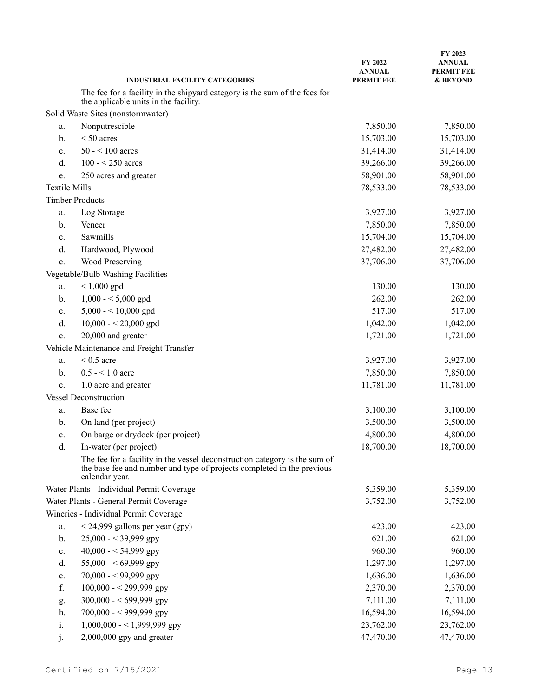|                      | <b>INDUSTRIAL FACILITY CATEGORIES</b>                                                                                                                                  | FY 2022<br><b>ANNUAL</b><br><b>PERMIT FEE</b> | FY 2023<br><b>ANNUAL</b><br><b>PERMIT FEE</b><br>& BEYOND |
|----------------------|------------------------------------------------------------------------------------------------------------------------------------------------------------------------|-----------------------------------------------|-----------------------------------------------------------|
|                      | The fee for a facility in the shipyard category is the sum of the fees for                                                                                             |                                               |                                                           |
|                      | the applicable units in the facility.                                                                                                                                  |                                               |                                                           |
|                      | Solid Waste Sites (nonstormwater)                                                                                                                                      |                                               |                                                           |
| a.                   | Nonputrescible                                                                                                                                                         | 7,850.00                                      | 7,850.00                                                  |
| b.                   | $< 50$ acres                                                                                                                                                           | 15,703.00                                     | 15,703.00                                                 |
| c.                   | $50 - 100$ acres                                                                                                                                                       | 31,414.00                                     | 31,414.00                                                 |
| d.                   | $100 - 250$ acres                                                                                                                                                      | 39,266.00                                     | 39,266.00                                                 |
| e.                   | 250 acres and greater                                                                                                                                                  | 58,901.00                                     | 58,901.00                                                 |
| <b>Textile Mills</b> |                                                                                                                                                                        | 78,533.00                                     | 78,533.00                                                 |
|                      | <b>Timber Products</b>                                                                                                                                                 |                                               |                                                           |
| a.                   | Log Storage                                                                                                                                                            | 3,927.00                                      | 3,927.00                                                  |
| b.                   | Veneer                                                                                                                                                                 | 7,850.00                                      | 7,850.00                                                  |
| c.                   | Sawmills                                                                                                                                                               | 15,704.00                                     | 15,704.00                                                 |
| d.                   | Hardwood, Plywood                                                                                                                                                      | 27,482.00                                     | 27,482.00                                                 |
| e.                   | <b>Wood Preserving</b>                                                                                                                                                 | 37,706.00                                     | 37,706.00                                                 |
|                      | Vegetable/Bulb Washing Facilities                                                                                                                                      |                                               |                                                           |
| a.                   | $< 1,000$ gpd                                                                                                                                                          | 130.00                                        | 130.00                                                    |
| b.                   | $1,000 - 5,000$ gpd                                                                                                                                                    | 262.00                                        | 262.00                                                    |
| c.                   | 5,000 - < $10,000$ gpd                                                                                                                                                 | 517.00                                        | 517.00                                                    |
| d.                   | $10,000 - 20,000$ gpd                                                                                                                                                  | 1,042.00                                      | 1,042.00                                                  |
| e.                   | 20,000 and greater                                                                                                                                                     | 1,721.00                                      | 1,721.00                                                  |
|                      | Vehicle Maintenance and Freight Transfer                                                                                                                               |                                               |                                                           |
| a.                   | $< 0.5$ acre                                                                                                                                                           | 3,927.00                                      | 3,927.00                                                  |
| b.                   | $0.5 - 1.0$ acre                                                                                                                                                       | 7,850.00                                      | 7,850.00                                                  |
| c.                   | 1.0 acre and greater                                                                                                                                                   | 11,781.00                                     | 11,781.00                                                 |
|                      | <b>Vessel Deconstruction</b>                                                                                                                                           |                                               |                                                           |
| a.                   | Base fee                                                                                                                                                               | 3,100.00                                      | 3,100.00                                                  |
| b.                   | On land (per project)                                                                                                                                                  | 3,500.00                                      | 3,500.00                                                  |
| c.                   | On barge or drydock (per project)                                                                                                                                      | 4,800.00                                      | 4,800.00                                                  |
| d.                   | In-water (per project)                                                                                                                                                 | 18,700.00                                     | 18,700.00                                                 |
|                      | The fee for a facility in the vessel deconstruction category is the sum of<br>the base fee and number and type of projects completed in the previous<br>calendar year. |                                               |                                                           |
|                      | Water Plants - Individual Permit Coverage                                                                                                                              | 5,359.00                                      | 5,359.00                                                  |
|                      | Water Plants - General Permit Coverage                                                                                                                                 | 3,752.00                                      | 3,752.00                                                  |
|                      | Wineries - Individual Permit Coverage                                                                                                                                  |                                               |                                                           |
| a.                   | $<$ 24,999 gallons per year (gpy)                                                                                                                                      | 423.00                                        | 423.00                                                    |
| b.                   | $25,000 - 39,999$ gpy                                                                                                                                                  | 621.00                                        | 621.00                                                    |
| c.                   | 40,000 - < 54,999 gpy                                                                                                                                                  | 960.00                                        | 960.00                                                    |
| d.                   | 55,000 - < 69,999 gpy                                                                                                                                                  | 1,297.00                                      | 1,297.00                                                  |
| e.                   | 70,000 - < 99,999 gpy                                                                                                                                                  | 1,636.00                                      | 1,636.00                                                  |
| f.                   | $100,000 - 299,999$ gpy                                                                                                                                                | 2,370.00                                      | 2,370.00                                                  |
| g.                   | $300,000 - 699,999$ gpy                                                                                                                                                | 7,111.00                                      | 7,111.00                                                  |
| h.                   | 700,000 - < 999,999 gpy                                                                                                                                                | 16,594.00                                     | 16,594.00                                                 |
| i.                   | $1,000,000 - 1,999,999$ gpy                                                                                                                                            | 23,762.00                                     | 23,762.00                                                 |
| j.                   | $2,000,000$ gpy and greater                                                                                                                                            | 47,470.00                                     | 47,470.00                                                 |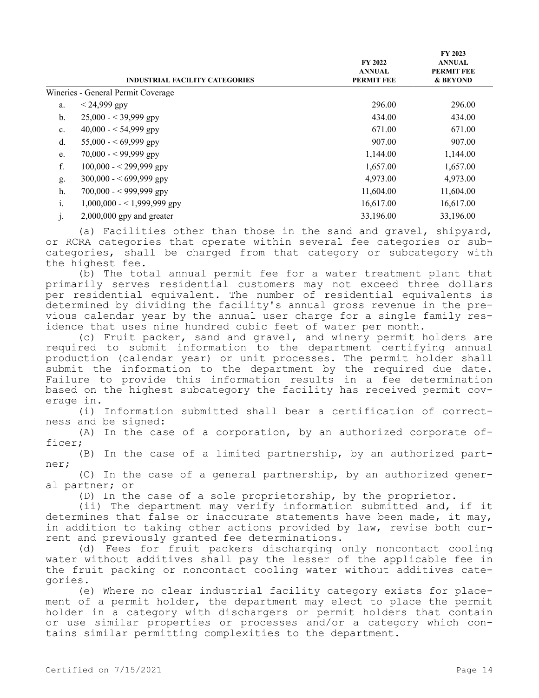|                | <b>INDUSTRIAL FACILITY CATEGORIES</b> | <b>FY 2022</b><br><b>ANNUAL</b><br><b>PERMIT FEE</b> | FY 2023<br><b>ANNUAL</b><br><b>PERMIT FEE</b><br>& BEYOND |
|----------------|---------------------------------------|------------------------------------------------------|-----------------------------------------------------------|
|                | Wineries - General Permit Coverage    |                                                      |                                                           |
| a.             | $< 24,999$ gpy                        | 296.00                                               | 296.00                                                    |
| $b$            | $25,000 - 39,999$ gpy                 | 434.00                                               | 434.00                                                    |
| $\mathbf{c}$ . | $40,000 - 54,999$ gpy                 | 671.00                                               | 671.00                                                    |
| d.             | $55,000 - 69,999$ gpy                 | 907.00                                               | 907.00                                                    |
| e.             | $70,000 - 99,999$ gpy                 | 1,144.00                                             | 1,144.00                                                  |
| f.             | $100,000 - 299,999$ gpy               | 1,657.00                                             | 1,657.00                                                  |
| g.             | $300,000 - 699,999$ gpy               | 4,973.00                                             | 4,973.00                                                  |
| h.             | $700,000 - 999,999$ gpy               | 11,604.00                                            | 11,604.00                                                 |
| 1.             | $1,000,000 - 1,999,999$ gpy           | 16,617.00                                            | 16,617.00                                                 |
| $\mathbf{J}$   | $2,000,000$ gpy and greater           | 33,196.00                                            | 33,196.00                                                 |

(a) Facilities other than those in the sand and gravel, shipyard, or RCRA categories that operate within several fee categories or subcategories, shall be charged from that category or subcategory with the highest fee.

(b) The total annual permit fee for a water treatment plant that primarily serves residential customers may not exceed three dollars per residential equivalent. The number of residential equivalents is determined by dividing the facility's annual gross revenue in the previous calendar year by the annual user charge for a single family residence that uses nine hundred cubic feet of water per month.

(c) Fruit packer, sand and gravel, and winery permit holders are required to submit information to the department certifying annual production (calendar year) or unit processes. The permit holder shall submit the information to the department by the required due date. Failure to provide this information results in a fee determination based on the highest subcategory the facility has received permit coverage in.

(i) Information submitted shall bear a certification of correctness and be signed:

(A) In the case of a corporation, by an authorized corporate officer;

(B) In the case of a limited partnership, by an authorized partner;

(C) In the case of a general partnership, by an authorized general partner; or

(D) In the case of a sole proprietorship, by the proprietor.

(ii) The department may verify information submitted and, if it determines that false or inaccurate statements have been made, it may, in addition to taking other actions provided by law, revise both current and previously granted fee determinations.

(d) Fees for fruit packers discharging only noncontact cooling water without additives shall pay the lesser of the applicable fee in the fruit packing or noncontact cooling water without additives categories.

(e) Where no clear industrial facility category exists for placement of a permit holder, the department may elect to place the permit holder in a category with dischargers or permit holders that contain or use similar properties or processes and/or a category which contains similar permitting complexities to the department.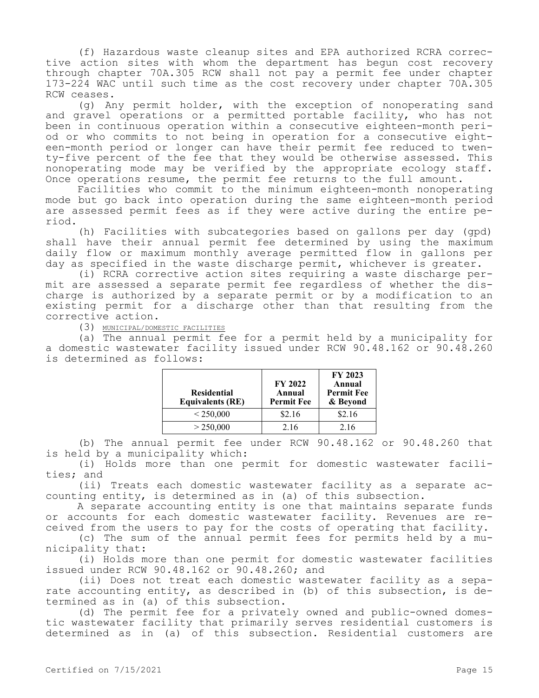(f) Hazardous waste cleanup sites and EPA authorized RCRA corrective action sites with whom the department has begun cost recovery through chapter 70A.305 RCW shall not pay a permit fee under chapter 173-224 WAC until such time as the cost recovery under chapter 70A.305 RCW ceases.

(g) Any permit holder, with the exception of nonoperating sand and gravel operations or a permitted portable facility, who has not been in continuous operation within a consecutive eighteen-month period or who commits to not being in operation for a consecutive eighteen-month period or longer can have their permit fee reduced to twenty-five percent of the fee that they would be otherwise assessed. This nonoperating mode may be verified by the appropriate ecology staff. Once operations resume, the permit fee returns to the full amount.

Facilities who commit to the minimum eighteen-month nonoperating mode but go back into operation during the same eighteen-month period are assessed permit fees as if they were active during the entire period.

(h) Facilities with subcategories based on gallons per day (gpd) shall have their annual permit fee determined by using the maximum daily flow or maximum monthly average permitted flow in gallons per day as specified in the waste discharge permit, whichever is greater.

(i) RCRA corrective action sites requiring a waste discharge permit are assessed a separate permit fee regardless of whether the discharge is authorized by a separate permit or by a modification to an existing permit for a discharge other than that resulting from the corrective action.

(3) MUNICIPAL/DOMESTIC FACILITIES

(a) The annual permit fee for a permit held by a municipality for a domestic wastewater facility issued under RCW 90.48.162 or 90.48.260 is determined as follows:

| <b>Residential</b><br><b>Equivalents (RE)</b> | <b>FY 2022</b><br>Annual<br><b>Permit Fee</b> | FY 2023<br>Annual<br><b>Permit Fee</b><br>& Beyond |
|-----------------------------------------------|-----------------------------------------------|----------------------------------------------------|
| < 250,000                                     | \$2.16                                        | \$2.16                                             |
| > 250,000                                     | 2.16                                          | 2.16                                               |

(b) The annual permit fee under RCW 90.48.162 or 90.48.260 that is held by a municipality which:

(i) Holds more than one permit for domestic wastewater facilities; and

(ii) Treats each domestic wastewater facility as a separate accounting entity, is determined as in (a) of this subsection.

A separate accounting entity is one that maintains separate funds or accounts for each domestic wastewater facility. Revenues are received from the users to pay for the costs of operating that facility.

(c) The sum of the annual permit fees for permits held by a municipality that:

(i) Holds more than one permit for domestic wastewater facilities issued under RCW 90.48.162 or 90.48.260; and

(ii) Does not treat each domestic wastewater facility as a separate accounting entity, as described in (b) of this subsection, is determined as in (a) of this subsection.

(d) The permit fee for a privately owned and public-owned domestic wastewater facility that primarily serves residential customers is determined as in (a) of this subsection. Residential customers are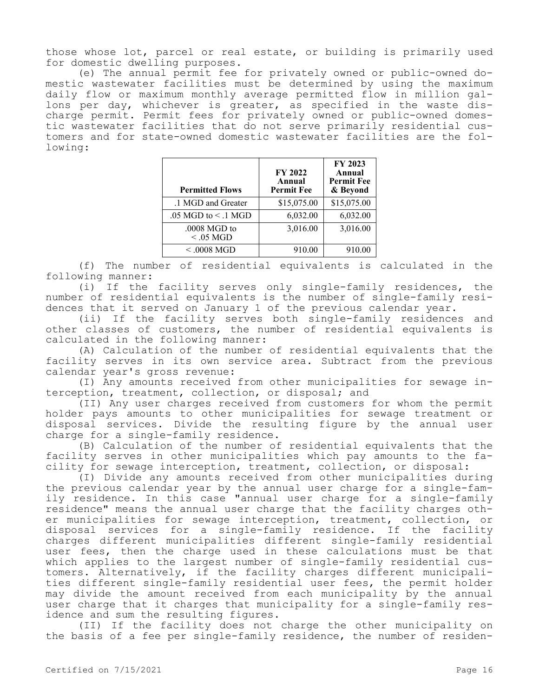those whose lot, parcel or real estate, or building is primarily used for domestic dwelling purposes.

(e) The annual permit fee for privately owned or public-owned domestic wastewater facilities must be determined by using the maximum daily flow or maximum monthly average permitted flow in million gallons per day, whichever is greater, as specified in the waste discharge permit. Permit fees for privately owned or public-owned domestic wastewater facilities that do not serve primarily residential customers and for state-owned domestic wastewater facilities are the following:

| <b>Permitted Flows</b>         | FY 2022<br>Annual<br><b>Permit Fee</b> | FY 2023<br>Annual<br><b>Permit Fee</b><br>& Beyond |
|--------------------------------|----------------------------------------|----------------------------------------------------|
| .1 MGD and Greater             | \$15,075.00                            | \$15,075.00                                        |
| $.05$ MGD to $\leq$ .1 MGD     | 6,032.00                               | 6,032.00                                           |
| $.0008$ MGD to<br>$< 0.05$ MGD | 3,016.00                               | 3,016.00                                           |
| $< .0008$ MGD                  | 910.00                                 | 910.00                                             |

(f) The number of residential equivalents is calculated in the following manner:

(i) If the facility serves only single-family residences, the number of residential equivalents is the number of single-family residences that it served on January 1 of the previous calendar year.

(ii) If the facility serves both single-family residences and other classes of customers, the number of residential equivalents is calculated in the following manner:

(A) Calculation of the number of residential equivalents that the facility serves in its own service area. Subtract from the previous calendar year's gross revenue:

(I) Any amounts received from other municipalities for sewage interception, treatment, collection, or disposal; and

(II) Any user charges received from customers for whom the permit holder pays amounts to other municipalities for sewage treatment or disposal services. Divide the resulting figure by the annual user charge for a single-family residence.

(B) Calculation of the number of residential equivalents that the facility serves in other municipalities which pay amounts to the facility for sewage interception, treatment, collection, or disposal:

(I) Divide any amounts received from other municipalities during the previous calendar year by the annual user charge for a single-family residence. In this case "annual user charge for a single-family residence" means the annual user charge that the facility charges other municipalities for sewage interception, treatment, collection, or disposal services for a single-family residence. If the facility charges different municipalities different single-family residential user fees, then the charge used in these calculations must be that which applies to the largest number of single-family residential customers. Alternatively, if the facility charges different municipalities different single-family residential user fees, the permit holder may divide the amount received from each municipality by the annual user charge that it charges that municipality for a single-family residence and sum the resulting figures.

(II) If the facility does not charge the other municipality on the basis of a fee per single-family residence, the number of residen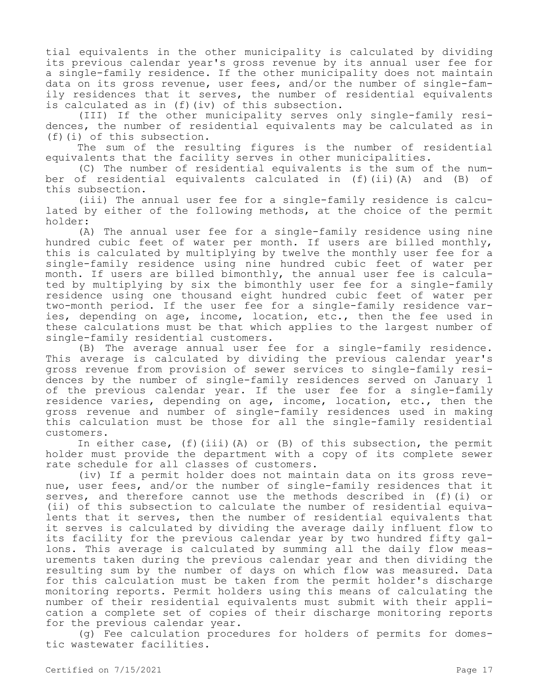tial equivalents in the other municipality is calculated by dividing its previous calendar year's gross revenue by its annual user fee for a single-family residence. If the other municipality does not maintain data on its gross revenue, user fees, and/or the number of single-family residences that it serves, the number of residential equivalents is calculated as in (f)(iv) of this subsection.

(III) If the other municipality serves only single-family residences, the number of residential equivalents may be calculated as in (f)(i) of this subsection.

The sum of the resulting figures is the number of residential equivalents that the facility serves in other municipalities.

(C) The number of residential equivalents is the sum of the number of residential equivalents calculated in (f)(ii)(A) and (B) of this subsection.

(iii) The annual user fee for a single-family residence is calculated by either of the following methods, at the choice of the permit holder:

(A) The annual user fee for a single-family residence using nine hundred cubic feet of water per month. If users are billed monthly, this is calculated by multiplying by twelve the monthly user fee for a single-family residence using nine hundred cubic feet of water per month. If users are billed bimonthly, the annual user fee is calculated by multiplying by six the bimonthly user fee for a single-family residence using one thousand eight hundred cubic feet of water per two-month period. If the user fee for a single-family residence varies, depending on age, income, location, etc., then the fee used in these calculations must be that which applies to the largest number of single-family residential customers.

(B) The average annual user fee for a single-family residence. This average is calculated by dividing the previous calendar year's gross revenue from provision of sewer services to single-family residences by the number of single-family residences served on January 1 of the previous calendar year. If the user fee for a single-family residence varies, depending on age, income, location, etc., then the gross revenue and number of single-family residences used in making this calculation must be those for all the single-family residential customers.

In either case, (f)(iii)(A) or (B) of this subsection, the permit holder must provide the department with a copy of its complete sewer rate schedule for all classes of customers.

(iv) If a permit holder does not maintain data on its gross revenue, user fees, and/or the number of single-family residences that it serves, and therefore cannot use the methods described in (f)(i) or (ii) of this subsection to calculate the number of residential equivalents that it serves, then the number of residential equivalents that it serves is calculated by dividing the average daily influent flow to its facility for the previous calendar year by two hundred fifty gallons. This average is calculated by summing all the daily flow measurements taken during the previous calendar year and then dividing the resulting sum by the number of days on which flow was measured. Data for this calculation must be taken from the permit holder's discharge monitoring reports. Permit holders using this means of calculating the number of their residential equivalents must submit with their application a complete set of copies of their discharge monitoring reports for the previous calendar year.

(g) Fee calculation procedures for holders of permits for domestic wastewater facilities.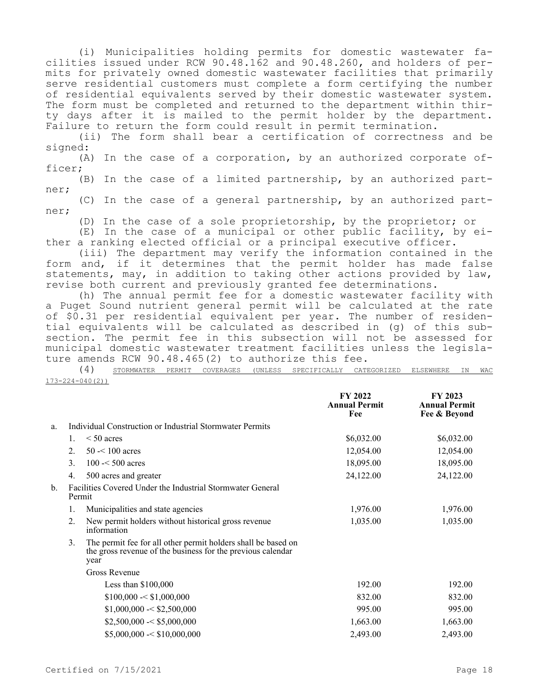(i) Municipalities holding permits for domestic wastewater facilities issued under RCW 90.48.162 and 90.48.260, and holders of permits for privately owned domestic wastewater facilities that primarily serve residential customers must complete a form certifying the number of residential equivalents served by their domestic wastewater system. The form must be completed and returned to the department within thirty days after it is mailed to the permit holder by the department. Failure to return the form could result in permit termination.

(ii) The form shall bear a certification of correctness and be signed:

(A) In the case of a corporation, by an authorized corporate officer;

(B) In the case of a limited partnership, by an authorized partner;

(C) In the case of a general partnership, by an authorized partner;

(D) In the case of a sole proprietorship, by the proprietor; or

(E) In the case of a municipal or other public facility, by either a ranking elected official or a principal executive officer.

(iii) The department may verify the information contained in the form and, if it determines that the permit holder has made false statements, may, in addition to taking other actions provided by law, revise both current and previously granted fee determinations.

(h) The annual permit fee for a domestic wastewater facility with a Puget Sound nutrient general permit will be calculated at the rate of \$0.31 per residential equivalent per year. The number of residential equivalents will be calculated as described in (g) of this subsection. The permit fee in this subsection will not be assessed for municipal domestic wastewater treatment facilities unless the legislature amends RCW 90.48.465(2) to authorize this fee.

(4) STORMWATER PERMIT COVERAGES (UNLESS SPECIFICALLY CATEGORIZED ELSEWHERE IN WAC 173-224-040(2))

|                |                                                                      |                                                                                                                                      | FY 2022<br><b>Annual Permit</b><br>Fee | FY 2023<br><b>Annual Permit</b><br>Fee & Beyond |
|----------------|----------------------------------------------------------------------|--------------------------------------------------------------------------------------------------------------------------------------|----------------------------------------|-------------------------------------------------|
| a.             |                                                                      | Individual Construction or Industrial Stormwater Permits                                                                             |                                        |                                                 |
|                | 1.                                                                   | $\leq 50$ acres                                                                                                                      | \$6,032.00                             | \$6,032.00                                      |
|                | 2.                                                                   | $50 - 100$ acres                                                                                                                     | 12,054.00                              | 12,054.00                                       |
|                | $\mathcal{E}$                                                        | $100 - 500$ acres                                                                                                                    | 18,095.00                              | 18,095.00                                       |
|                | 4.                                                                   | 500 acres and greater                                                                                                                | 24,122.00                              | 24,122.00                                       |
| $\mathbf{b}$ . | Facilities Covered Under the Industrial Stormwater General<br>Permit |                                                                                                                                      |                                        |                                                 |
|                | 1.                                                                   | Municipalities and state agencies                                                                                                    | 1,976.00                               | 1,976.00                                        |
|                | 2.                                                                   | New permit holders without historical gross revenue<br>information                                                                   | 1,035.00                               | 1,035.00                                        |
|                | 3.                                                                   | The permit fee for all other permit holders shall be based on<br>the gross revenue of the business for the previous calendar<br>year |                                        |                                                 |
|                |                                                                      | <b>Gross Revenue</b>                                                                                                                 |                                        |                                                 |
|                |                                                                      | Less than $$100,000$                                                                                                                 | 192.00                                 | 192.00                                          |
|                |                                                                      | \$100,000 < \$1,000,000                                                                                                              | 832.00                                 | 832.00                                          |
|                |                                                                      | \$1,000,000 < \$2,500,000                                                                                                            | 995.00                                 | 995.00                                          |
|                |                                                                      | \$2,500,000 < \$5,000,000                                                                                                            | 1,663.00                               | 1,663.00                                        |
|                |                                                                      | \$5,000,000 < \$10,000,000                                                                                                           | 2,493.00                               | 2,493.00                                        |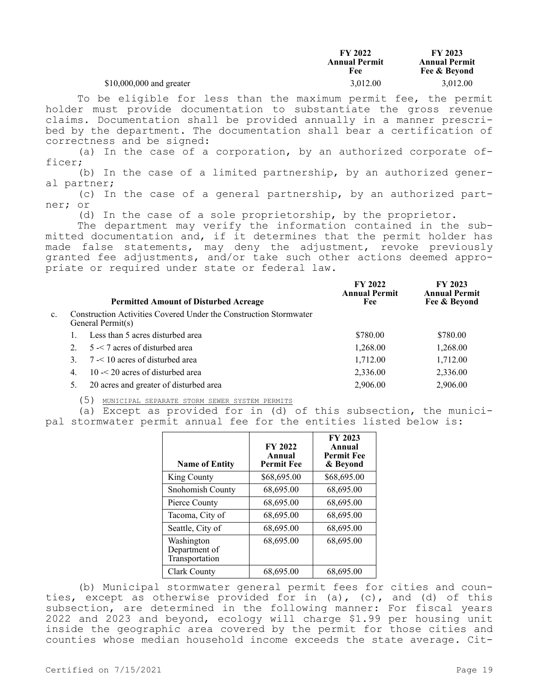|                           | <b>FY 2022</b><br><b>Annual Permit</b><br>Fee | FY 2023<br><b>Annual Permit</b><br>Fee & Beyond |
|---------------------------|-----------------------------------------------|-------------------------------------------------|
| $$10,000,000$ and greater | 3.012.00                                      | 3.012.00                                        |

To be eligible for less than the maximum permit fee, the permit holder must provide documentation to substantiate the gross revenue claims. Documentation shall be provided annually in a manner prescribed by the department. The documentation shall bear a certification of correctness and be signed:

(a) In the case of a corporation, by an authorized corporate officer;

(b) In the case of a limited partnership, by an authorized general partner;

(c) In the case of a general partnership, by an authorized partner; or

(d) In the case of a sole proprietorship, by the proprietor.

The department may verify the information contained in the submitted documentation and, if it determines that the permit holder has made false statements, may deny the adjustment, revoke previously granted fee adjustments, and/or take such other actions deemed appropriate or required under state or federal law.

|                |    | <b>Permitted Amount of Disturbed Acreage</b>                                           | FY 2022<br><b>Annual Permit</b><br>Fee | FY 2023<br><b>Annual Permit</b><br>Fee & Beyond |
|----------------|----|----------------------------------------------------------------------------------------|----------------------------------------|-------------------------------------------------|
| $\mathbf{c}$ . |    | Construction Activities Covered Under the Construction Stormwater<br>General Permit(s) |                                        |                                                 |
|                |    | Less than 5 acres disturbed area                                                       | \$780.00                               | \$780.00                                        |
|                |    | $5 - 7$ acres of disturbed area                                                        | 1,268.00                               | 1,268.00                                        |
|                |    | $7 < 10$ acres of disturbed area                                                       | 1,712.00                               | 1,712.00                                        |
|                | 4. | $10 - 20$ acres of disturbed area                                                      | 2,336.00                               | 2,336.00                                        |
|                |    | 20 acres and greater of disturbed area                                                 | 2,906.00                               | 2,906.00                                        |

(5) MUNICIPAL SEPARATE STORM SEWER SYSTEM PERMITS

(a) Except as provided for in (d) of this subsection, the municipal stormwater permit annual fee for the entities listed below is:

| <b>Name of Entity</b>                         | <b>FY 2022</b><br>Annual<br><b>Permit Fee</b> | <b>FY 2023</b><br>Annual<br><b>Permit Fee</b><br>& Beyond |
|-----------------------------------------------|-----------------------------------------------|-----------------------------------------------------------|
| King County                                   | \$68,695.00                                   | \$68,695.00                                               |
| Snohomish County                              | 68,695.00                                     | 68,695.00                                                 |
| Pierce County                                 | 68,695.00                                     | 68,695.00                                                 |
| Tacoma, City of                               | 68,695.00                                     | 68,695.00                                                 |
| Seattle, City of                              | 68,695.00                                     | 68,695.00                                                 |
| Washington<br>Department of<br>Transportation | 68,695.00                                     | 68,695.00                                                 |
| Clark County                                  | 68,695.00                                     | 68,695.00                                                 |

(b) Municipal stormwater general permit fees for cities and counties, except as otherwise provided for in (a), (c), and (d) of this subsection, are determined in the following manner: For fiscal years 2022 and 2023 and beyond, ecology will charge \$1.99 per housing unit inside the geographic area covered by the permit for those cities and counties whose median household income exceeds the state average. Cit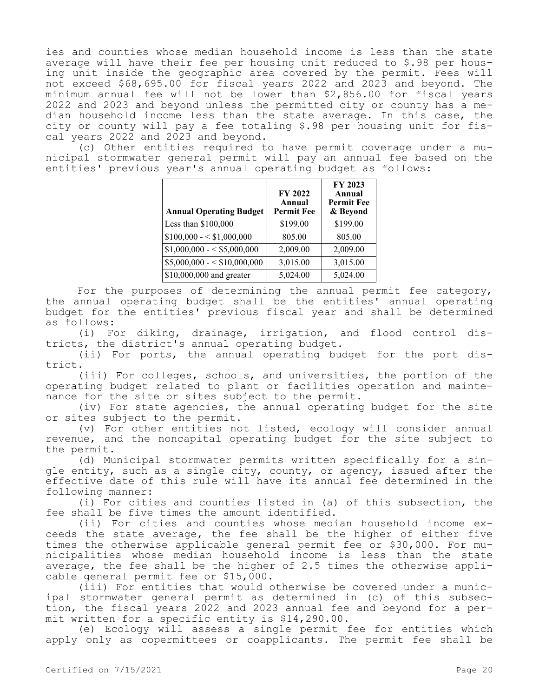ies and counties whose median household income is less than the state average will have their fee per housing unit reduced to \$.98 per housing unit inside the geographic area covered by the permit. Fees will not exceed \$68,695.00 for fiscal years 2022 and 2023 and beyond. The minimum annual fee will not be lower than \$2,856.00 for fiscal years 2022 and 2023 and beyond unless the permitted city or county has a median household income less than the state average. In this case, the city or county will pay a fee totaling \$.98 per housing unit for fiscal years 2022 and 2023 and beyond.

(c) Other entities required to have permit coverage under a municipal stormwater general permit will pay an annual fee based on the entities' previous year's annual operating budget as follows:

| <b>Annual Operating Budget</b> | FY 2022<br>Annual<br><b>Permit Fee</b> | FY 2023<br>Annual<br><b>Permit Fee</b><br>& Beyond |
|--------------------------------|----------------------------------------|----------------------------------------------------|
| Less than $$100,000$           | \$199.00                               | \$199.00                                           |
| $$100,000 - $1,000,000$        | 805.00                                 | 805.00                                             |
| $$1,000,000 - $5,000,000$      | 2,009.00                               | 2,009.00                                           |
| $$5,000,000 - $10,000,000$     | 3,015.00                               | 3,015.00                                           |
| \$10,000,000 and greater       | 5,024.00                               | 5,024.00                                           |

For the purposes of determining the annual permit fee category, the annual operating budget shall be the entities' annual operating budget for the entities' previous fiscal year and shall be determined as follows:

(i) For diking, drainage, irrigation, and flood control districts, the district's annual operating budget.

(ii) For ports, the annual operating budget for the port district.

(iii) For colleges, schools, and universities, the portion of the operating budget related to plant or facilities operation and maintenance for the site or sites subject to the permit.

(iv) For state agencies, the annual operating budget for the site or sites subject to the permit.

(v) For other entities not listed, ecology will consider annual revenue, and the noncapital operating budget for the site subject to the permit.

(d) Municipal stormwater permits written specifically for a single entity, such as a single city, county, or agency, issued after the effective date of this rule will have its annual fee determined in the following manner:

(i) For cities and counties listed in (a) of this subsection, the fee shall be five times the amount identified.

(ii) For cities and counties whose median household income exceeds the state average, the fee shall be the higher of either five times the otherwise applicable general permit fee or \$30,000. For municipalities whose median household income is less than the state average, the fee shall be the higher of 2.5 times the otherwise applicable general permit fee or \$15,000.

(iii) For entities that would otherwise be covered under a municipal stormwater general permit as determined in (c) of this subsection, the fiscal years 2022 and 2023 annual fee and beyond for a permit written for a specific entity is \$14,290.00.

(e) Ecology will assess a single permit fee for entities which apply only as copermittees or coapplicants. The permit fee shall be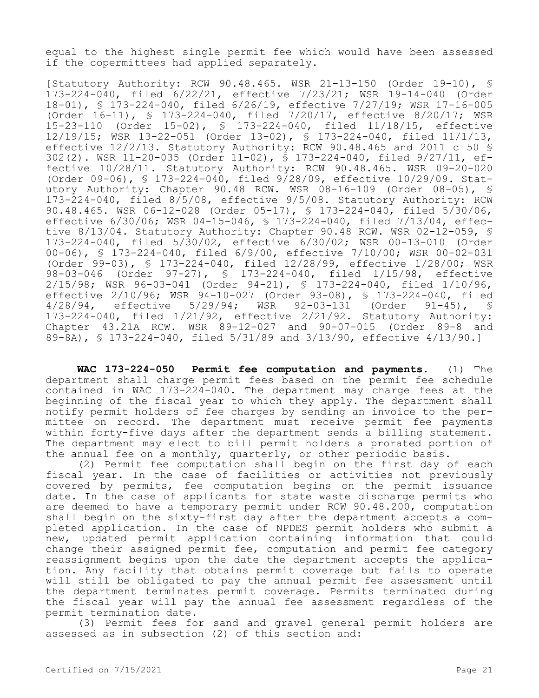equal to the highest single permit fee which would have been assessed if the copermittees had applied separately.

[Statutory Authority: RCW 90.48.465. WSR 21-13-150 (Order 19-10), § 173-224-040, filed 6/22/21, effective 7/23/21; WSR 19-14-040 (Order 18-01), § 173-224-040, filed 6/26/19, effective 7/27/19; WSR 17-16-005 (Order 16-11), § 173-224-040, filed 7/20/17, effective 8/20/17; WSR 15-23-110 (Order 15-02), § 173-224-040, filed 11/18/15, effective 12/19/15; WSR 13-22-051 (Order 13-02), § 173-224-040, filed 11/1/13, effective 12/2/13. Statutory Authority: RCW 90.48.465 and 2011 c 50 § 302(2). WSR 11-20-035 (Order 11-02), § 173-224-040, filed 9/27/11, effective 10/28/11. Statutory Authority: RCW 90.48.465. WSR 09-20-020 (Order 09-06), § 173-224-040, filed 9/28/09, effective 10/29/09. Statutory Authority: Chapter 90.48 RCW. WSR 08-16-109 (Order 08-05), § 173-224-040, filed 8/5/08, effective 9/5/08. Statutory Authority: RCW 90.48.465. WSR 06-12-028 (Order 05-17), § 173-224-040, filed 5/30/06, effective 6/30/06; WSR 04-15-046, § 173-224-040, filed 7/13/04, effective 8/13/04. Statutory Authority: Chapter 90.48 RCW. WSR 02-12-059, § 173-224-040, filed 5/30/02, effective 6/30/02; WSR 00-13-010 (Order 00-06), § 173-224-040, filed 6/9/00, effective 7/10/00; WSR 00-02-031 (Order 99-03), § 173-224-040, filed 12/28/99, effective 1/28/00; WSR 98-03-046 (Order 97-27), § 173-224-040, filed 1/15/98, effective 2/15/98; WSR 96-03-041 (Order 94-21), § 173-224-040, filed 1/10/96, effective 2/10/96; WSR 94-10-027 (Order 93-08), § 173-224-040, filed<br>4/28/94, effective 5/29/94; WSR 92-03-131 (Order 91-45), § effective 5/29/94; WSR 92-03-131 (Order 91-45), § 173-224-040, filed 1/21/92, effective 2/21/92. Statutory Authority: Chapter 43.21A RCW. WSR 89-12-027 and 90-07-015 (Order 89-8 and 89-8A), § 173-224-040, filed 5/31/89 and 3/13/90, effective 4/13/90.]

**WAC 173-224-050 Permit fee computation and payments.** (1) The department shall charge permit fees based on the permit fee schedule contained in WAC 173-224-040. The department may charge fees at the beginning of the fiscal year to which they apply. The department shall notify permit holders of fee charges by sending an invoice to the permittee on record. The department must receive permit fee payments within forty-five days after the department sends a billing statement. The department may elect to bill permit holders a prorated portion of the annual fee on a monthly, quarterly, or other periodic basis.

(2) Permit fee computation shall begin on the first day of each fiscal year. In the case of facilities or activities not previously covered by permits, fee computation begins on the permit issuance date. In the case of applicants for state waste discharge permits who are deemed to have a temporary permit under RCW 90.48.200, computation shall begin on the sixty-first day after the department accepts a completed application. In the case of NPDES permit holders who submit a new, updated permit application containing information that could change their assigned permit fee, computation and permit fee category reassignment begins upon the date the department accepts the application. Any facility that obtains permit coverage but fails to operate will still be obligated to pay the annual permit fee assessment until the department terminates permit coverage. Permits terminated during the fiscal year will pay the annual fee assessment regardless of the permit termination date.

(3) Permit fees for sand and gravel general permit holders are assessed as in subsection (2) of this section and: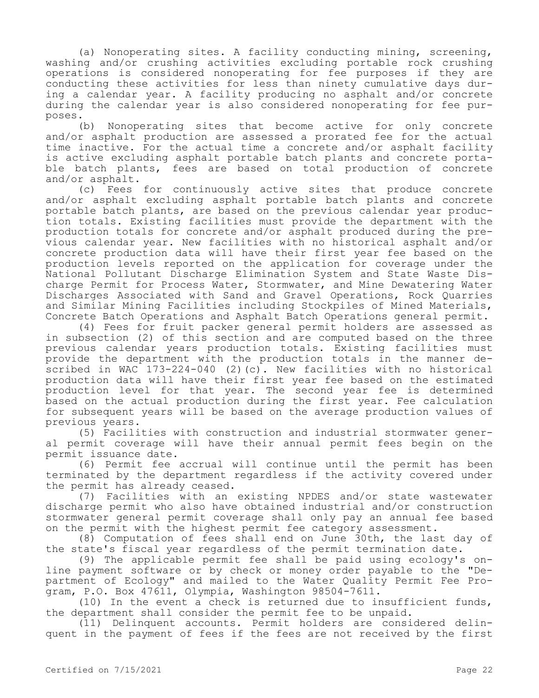(a) Nonoperating sites. A facility conducting mining, screening, washing and/or crushing activities excluding portable rock crushing operations is considered nonoperating for fee purposes if they are conducting these activities for less than ninety cumulative days during a calendar year. A facility producing no asphalt and/or concrete during the calendar year is also considered nonoperating for fee purposes.

(b) Nonoperating sites that become active for only concrete and/or asphalt production are assessed a prorated fee for the actual time inactive. For the actual time a concrete and/or asphalt facility is active excluding asphalt portable batch plants and concrete portable batch plants, fees are based on total production of concrete and/or asphalt.

(c) Fees for continuously active sites that produce concrete and/or asphalt excluding asphalt portable batch plants and concrete portable batch plants, are based on the previous calendar year production totals. Existing facilities must provide the department with the production totals for concrete and/or asphalt produced during the previous calendar year. New facilities with no historical asphalt and/or concrete production data will have their first year fee based on the production levels reported on the application for coverage under the National Pollutant Discharge Elimination System and State Waste Discharge Permit for Process Water, Stormwater, and Mine Dewatering Water Discharges Associated with Sand and Gravel Operations, Rock Quarries and Similar Mining Facilities including Stockpiles of Mined Materials, Concrete Batch Operations and Asphalt Batch Operations general permit.

(4) Fees for fruit packer general permit holders are assessed as in subsection (2) of this section and are computed based on the three previous calendar years production totals. Existing facilities must provide the department with the production totals in the manner described in WAC 173-224-040 (2)(c). New facilities with no historical production data will have their first year fee based on the estimated production level for that year. The second year fee is determined based on the actual production during the first year. Fee calculation for subsequent years will be based on the average production values of previous years.

(5) Facilities with construction and industrial stormwater general permit coverage will have their annual permit fees begin on the permit issuance date.

(6) Permit fee accrual will continue until the permit has been terminated by the department regardless if the activity covered under the permit has already ceased.

(7) Facilities with an existing NPDES and/or state wastewater discharge permit who also have obtained industrial and/or construction stormwater general permit coverage shall only pay an annual fee based on the permit with the highest permit fee category assessment.

(8) Computation of fees shall end on June 30th, the last day of the state's fiscal year regardless of the permit termination date.

(9) The applicable permit fee shall be paid using ecology's online payment software or by check or money order payable to the "Department of Ecology" and mailed to the Water Quality Permit Fee Program, P.O. Box 47611, Olympia, Washington 98504-7611.

(10) In the event a check is returned due to insufficient funds, the department shall consider the permit fee to be unpaid.

(11) Delinquent accounts. Permit holders are considered delinquent in the payment of fees if the fees are not received by the first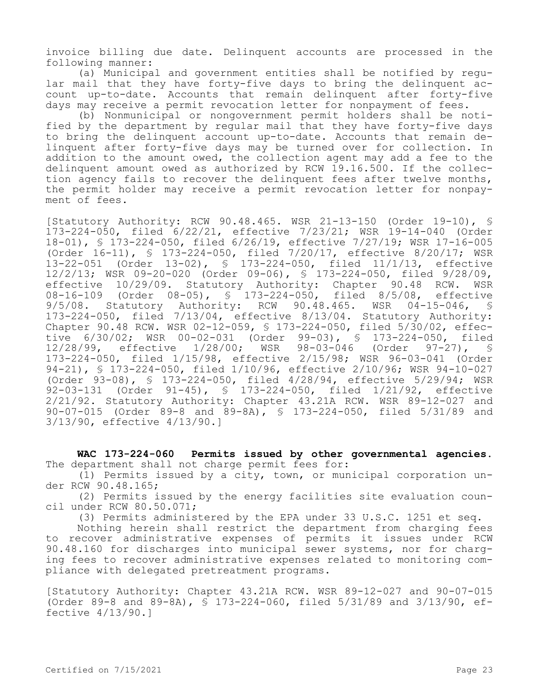invoice billing due date. Delinquent accounts are processed in the following manner:

(a) Municipal and government entities shall be notified by regular mail that they have forty-five days to bring the delinquent account up-to-date. Accounts that remain delinquent after forty-five days may receive a permit revocation letter for nonpayment of fees.

(b) Nonmunicipal or nongovernment permit holders shall be notified by the department by regular mail that they have forty-five days to bring the delinquent account up-to-date. Accounts that remain delinquent after forty-five days may be turned over for collection. In addition to the amount owed, the collection agent may add a fee to the delinquent amount owed as authorized by RCW 19.16.500. If the collection agency fails to recover the delinquent fees after twelve months, the permit holder may receive a permit revocation letter for nonpayment of fees.

[Statutory Authority: RCW 90.48.465. WSR 21-13-150 (Order 19-10), § 173-224-050, filed 6/22/21, effective 7/23/21; WSR 19-14-040 (Order 18-01), § 173-224-050, filed 6/26/19, effective 7/27/19; WSR 17-16-005 (Order 16-11), § 173-224-050, filed 7/20/17, effective 8/20/17; WSR 13-22-051 (Order 13-02), § 173-224-050, filed 11/1/13, effective 12/2/13; WSR 09-20-020 (Order 09-06), § 173-224-050, filed 9/28/09, effective 10/29/09. Statutory Authority: Chapter 90.48 RCW. WSR 08-16-109 (Order 08-05), § 173-224-050, filed 8/5/08, effective 9/5/08. Statutory Authority: RCW 90.48.465. WSR 04-15-046, § 173-224-050, filed 7/13/04, effective 8/13/04. Statutory Authority: Chapter 90.48 RCW. WSR 02-12-059, § 173-224-050, filed 5/30/02, effective 6/30/02; WSR 00-02-031 (Order 99-03), § 173-224-050, filed<br>12/28/99, effective 1/28/00; WSR 98-03-046 (Order 97-27), § 12/28/99, effective 1/28/00; WSR 98-03-046 (Order 97-27), § 173-224-050, filed 1/15/98, effective 2/15/98; WSR 96-03-041 (Order 94-21), § 173-224-050, filed 1/10/96, effective 2/10/96; WSR 94-10-027 (Order 93-08), § 173-224-050, filed 4/28/94, effective 5/29/94; WSR 92-03-131 (Order 91-45), § 173-224-050, filed 1/21/92, effective 2/21/92. Statutory Authority: Chapter 43.21A RCW. WSR 89-12-027 and 90-07-015 (Order 89-8 and 89-8A), § 173-224-050, filed 5/31/89 and 3/13/90, effective 4/13/90.]

**WAC 173-224-060 Permits issued by other governmental agencies.**  The department shall not charge permit fees for:

(1) Permits issued by a city, town, or municipal corporation under RCW 90.48.165;

(2) Permits issued by the energy facilities site evaluation council under RCW 80.50.071;

(3) Permits administered by the EPA under 33 U.S.C. 1251 et seq.

Nothing herein shall restrict the department from charging fees to recover administrative expenses of permits it issues under RCW 90.48.160 for discharges into municipal sewer systems, nor for charging fees to recover administrative expenses related to monitoring compliance with delegated pretreatment programs.

[Statutory Authority: Chapter 43.21A RCW. WSR 89-12-027 and 90-07-015 (Order 89-8 and 89-8A), § 173-224-060, filed 5/31/89 and 3/13/90, effective 4/13/90.]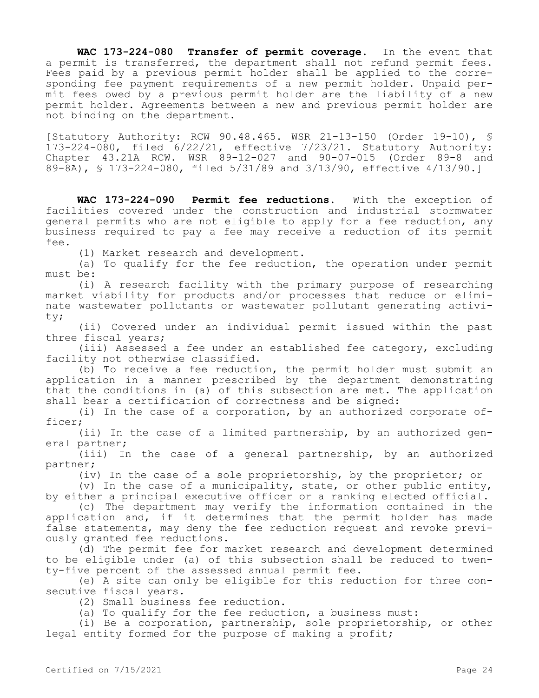**WAC 173-224-080 Transfer of permit coverage.** In the event that a permit is transferred, the department shall not refund permit fees. Fees paid by a previous permit holder shall be applied to the corresponding fee payment requirements of a new permit holder. Unpaid permit fees owed by a previous permit holder are the liability of a new permit holder. Agreements between a new and previous permit holder are not binding on the department.

[Statutory Authority: RCW 90.48.465. WSR 21-13-150 (Order 19-10), § 173-224-080, filed 6/22/21, effective 7/23/21. Statutory Authority: Chapter 43.21A RCW. WSR 89-12-027 and 90-07-015 (Order 89-8 and 89-8A), § 173-224-080, filed 5/31/89 and 3/13/90, effective 4/13/90.]

**WAC 173-224-090 Permit fee reductions.** With the exception of facilities covered under the construction and industrial stormwater general permits who are not eligible to apply for a fee reduction, any business required to pay a fee may receive a reduction of its permit fee.

(1) Market research and development.

(a) To qualify for the fee reduction, the operation under permit must be:

(i) A research facility with the primary purpose of researching market viability for products and/or processes that reduce or eliminate wastewater pollutants or wastewater pollutant generating activity;

(ii) Covered under an individual permit issued within the past three fiscal years;

(iii) Assessed a fee under an established fee category, excluding facility not otherwise classified.

(b) To receive a fee reduction, the permit holder must submit an application in a manner prescribed by the department demonstrating that the conditions in (a) of this subsection are met. The application shall bear a certification of correctness and be signed:

(i) In the case of a corporation, by an authorized corporate officer;

(ii) In the case of a limited partnership, by an authorized general partner;

(iii) In the case of a general partnership, by an authorized partner;

(iv) In the case of a sole proprietorship, by the proprietor; or

(v) In the case of a municipality, state, or other public entity, by either a principal executive officer or a ranking elected official.

(c) The department may verify the information contained in the application and, if it determines that the permit holder has made false statements, may deny the fee reduction request and revoke previously granted fee reductions.

(d) The permit fee for market research and development determined to be eligible under (a) of this subsection shall be reduced to twenty-five percent of the assessed annual permit fee.

(e) A site can only be eligible for this reduction for three consecutive fiscal years.

(2) Small business fee reduction.

(a) To qualify for the fee reduction, a business must:

(i) Be a corporation, partnership, sole proprietorship, or other legal entity formed for the purpose of making a profit;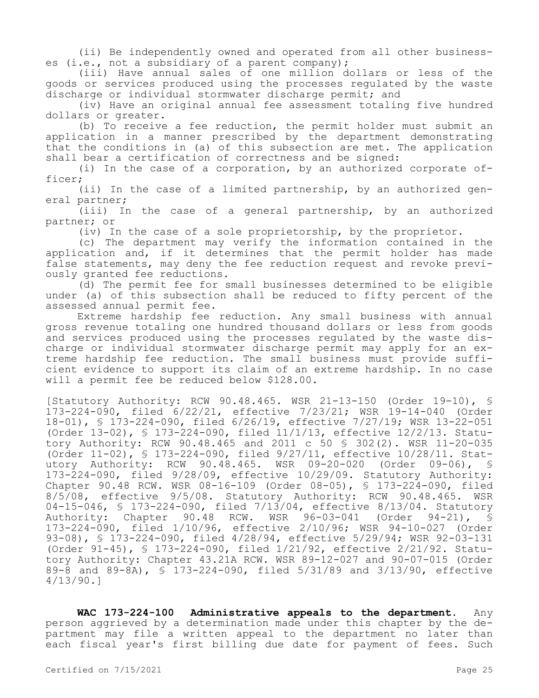(ii) Be independently owned and operated from all other businesses (i.e., not a subsidiary of a parent company);

(iii) Have annual sales of one million dollars or less of the goods or services produced using the processes regulated by the waste discharge or individual stormwater discharge permit; and

(iv) Have an original annual fee assessment totaling five hundred dollars or greater.

(b) To receive a fee reduction, the permit holder must submit an application in a manner prescribed by the department demonstrating that the conditions in (a) of this subsection are met. The application shall bear a certification of correctness and be signed:

(i) In the case of a corporation, by an authorized corporate officer;

(ii) In the case of a limited partnership, by an authorized general partner;

(iii) In the case of a general partnership, by an authorized partner; or

(iv) In the case of a sole proprietorship, by the proprietor.

(c) The department may verify the information contained in the application and, if it determines that the permit holder has made false statements, may deny the fee reduction request and revoke previously granted fee reductions.

(d) The permit fee for small businesses determined to be eligible under (a) of this subsection shall be reduced to fifty percent of the assessed annual permit fee.

Extreme hardship fee reduction. Any small business with annual gross revenue totaling one hundred thousand dollars or less from goods and services produced using the processes regulated by the waste discharge or individual stormwater discharge permit may apply for an extreme hardship fee reduction. The small business must provide sufficient evidence to support its claim of an extreme hardship. In no case will a permit fee be reduced below \$128.00.

[Statutory Authority: RCW 90.48.465. WSR 21-13-150 (Order 19-10), § 173-224-090, filed 6/22/21, effective 7/23/21; WSR 19-14-040 (Order 18-01), § 173-224-090, filed 6/26/19, effective 7/27/19; WSR 13-22-051 (Order 13-02), § 173-224-090, filed 11/1/13, effective 12/2/13. Statutory Authority: RCW 90.48.465 and 2011 c 50 § 302(2). WSR 11-20-035 (Order 11-02), § 173-224-090, filed 9/27/11, effective 10/28/11. Statutory Authority: RCW 90.48.465. WSR 09-20-020 (Order 09-06), § 173-224-090, filed 9/28/09, effective 10/29/09. Statutory Authority: Chapter 90.48 RCW. WSR 08-16-109 (Order 08-05), § 173-224-090, filed 8/5/08, effective 9/5/08. Statutory Authority: RCW 90.48.465. WSR 04-15-046, § 173-224-090, filed 7/13/04, effective 8/13/04. Statutory Authority: Chapter 90.48 RCW. WSR 96-03-041 (Order 94-21), § 173-224-090, filed 1/10/96, effective 2/10/96; WSR 94-10-027 (Order 93-08), § 173-224-090, filed 4/28/94, effective 5/29/94; WSR 92-03-131 (Order 91-45), § 173-224-090, filed 1/21/92, effective 2/21/92. Statutory Authority: Chapter 43.21A RCW. WSR 89-12-027 and 90-07-015 (Order 89-8 and 89-8A), § 173-224-090, filed 5/31/89 and 3/13/90, effective 4/13/90.]

**WAC 173-224-100 Administrative appeals to the department.** Any person aggrieved by a determination made under this chapter by the department may file a written appeal to the department no later than each fiscal year's first billing due date for payment of fees. Such